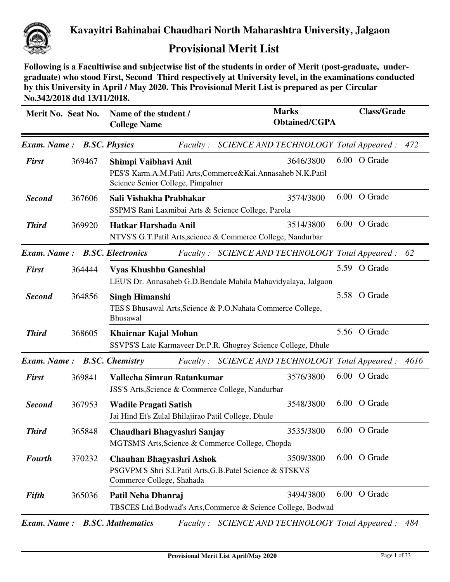

## **Provisional Merit List**

**Following is a Facultiwise and subjectwise list of the students in order of Merit (post-graduate, undergraduate) who stood First, Second Third respectively at University level, in the examinations conducted by this University in April / May 2020. This Provisional Merit List is prepared as per Circular No.342/2018 dtd 13/11/2018.**

| Merit No. Seat No.                   |        | Name of the student /<br><b>College Name</b>                                          | <b>Marks</b><br><b>Obtained/CGPA</b>                          | <b>Class/Grade</b> |
|--------------------------------------|--------|---------------------------------------------------------------------------------------|---------------------------------------------------------------|--------------------|
| Exam. Name: B.SC. Physics            |        |                                                                                       | Faculty: SCIENCE AND TECHNOLOGY Total Appeared:               | 472                |
| <b>First</b>                         | 369467 | Shimpi Vaibhavi Anil                                                                  | 3646/3800                                                     | 6.00 O Grade       |
|                                      |        | Science Senior College, Pimpalner                                                     | PES'S Karm.A.M.Patil Arts,Commerce&Kai.Annasaheb N.K.Patil    |                    |
| <b>Second</b>                        | 367606 | Sali Vishakha Prabhakar                                                               | 3574/3800                                                     | 6.00 O Grade       |
|                                      |        | SSPM'S Rani Laxmibai Arts & Science College, Parola                                   |                                                               |                    |
| <b>Third</b>                         | 369920 | Hatkar Harshada Anil                                                                  | 3514/3800                                                     | 6.00 O Grade       |
|                                      |        |                                                                                       | NTVS'S G.T.Patil Arts, science & Commerce College, Nandurbar  |                    |
| <b>Exam. Name: B.SC. Electronics</b> |        |                                                                                       | Faculty: SCIENCE AND TECHNOLOGY Total Appeared:               | 62                 |
| <b>First</b>                         | 364444 | <b>Vyas Khushbu Ganeshlal</b>                                                         |                                                               | 5.59 O Grade       |
|                                      |        |                                                                                       | LEU'S Dr. Annasaheb G.D.Bendale Mahila Mahavidyalaya, Jalgaon |                    |
| <b>Second</b>                        | 364856 | <b>Singh Himanshi</b>                                                                 |                                                               | 5.58 O Grade       |
|                                      |        | Bhusawal                                                                              | TES'S Bhusawal Arts, Science & P.O. Nahata Commerce College,  |                    |
| <b>Third</b>                         | 368605 | Khairnar Kajal Mohan                                                                  | SSVPS'S Late Karmaveer Dr.P.R. Ghogrey Science College, Dhule | 5.56 O Grade       |
| Exam. Name: B.SC. Chemistry          |        |                                                                                       | Faculty: SCIENCE AND TECHNOLOGY Total Appeared:               | 4616               |
| <b>First</b>                         | 369841 | Vallecha Simran Ratankumar                                                            | 3576/3800                                                     | 6.00 O Grade       |
|                                      |        | JSS'S Arts, Science & Commerce College, Nandurbar                                     |                                                               |                    |
| <b>Second</b>                        | 367953 | <b>Wadile Pragati Satish</b>                                                          | 3548/3800                                                     | 6.00 O Grade       |
|                                      |        | Jai Hind Et's Zulal Bhilajirao Patil College, Dhule                                   |                                                               |                    |
| <b>Third</b>                         | 365848 | Chaudhari Bhagyashri Sanjay                                                           | 3535/3800                                                     | 6.00 O Grade       |
|                                      |        | MGTSM'S Arts, Science & Commerce College, Chopda                                      |                                                               |                    |
| <b>Fourth</b>                        | 370232 | <b>Chauhan Bhagyashri Ashok</b>                                                       | 3509/3800                                                     | 6.00 O Grade       |
|                                      |        | PSGVPM'S Shri S.I.Patil Arts, G.B.Patel Science & STSKVS<br>Commerce College, Shahada |                                                               |                    |
| <b>Fifth</b>                         | 365036 | Patil Neha Dhanraj                                                                    | 3494/3800                                                     | 6.00 O Grade       |
|                                      |        |                                                                                       | TBSCES Ltd.Bodwad's Arts,Commerce & Science College, Bodwad   |                    |
|                                      |        | <b>Exam. Name:</b> B.SC. Mathematics                                                  | Faculty: SCIENCE AND TECHNOLOGY Total Appeared :              | 484                |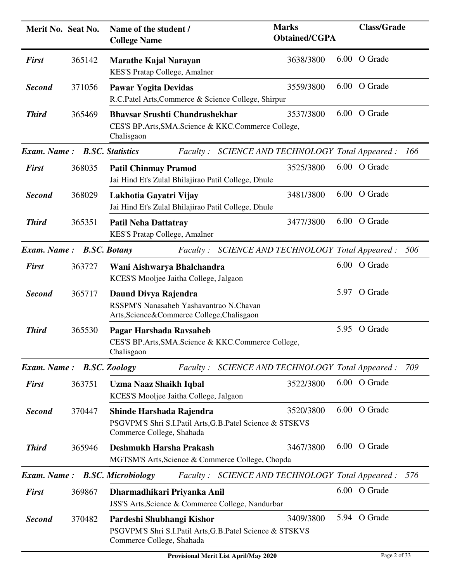| Merit No. Seat No.                  |        | Name of the student /<br><b>College Name</b>                                                                       | <b>Marks</b><br><b>Obtained/CGPA</b>    | <b>Class/Grade</b> |     |
|-------------------------------------|--------|--------------------------------------------------------------------------------------------------------------------|-----------------------------------------|--------------------|-----|
| <b>First</b>                        | 365142 | <b>Marathe Kajal Narayan</b><br><b>KES'S Pratap College, Amalner</b>                                               | 3638/3800                               | 6.00 O Grade       |     |
| <b>Second</b>                       | 371056 | <b>Pawar Yogita Devidas</b><br>R.C.Patel Arts, Commerce & Science College, Shirpur                                 | 3559/3800                               | 6.00 O Grade       |     |
| <b>Third</b>                        | 365469 | <b>Bhavsar Srushti Chandrashekhar</b><br>CES'S BP.Arts, SMA. Science & KKC. Commerce College,<br>Chalisgaon        | 3537/3800                               | 6.00 O Grade       |     |
| <b>Exam. Name:</b> B.SC. Statistics |        | <i>Faculty:</i>                                                                                                    | SCIENCE AND TECHNOLOGY Total Appeared : |                    | 166 |
| <b>First</b>                        | 368035 | <b>Patil Chinmay Pramod</b><br>Jai Hind Et's Zulal Bhilajirao Patil College, Dhule                                 | 3525/3800                               | 6.00 O Grade       |     |
| <b>Second</b>                       | 368029 | Lakhotia Gayatri Vijay<br>Jai Hind Et's Zulal Bhilajirao Patil College, Dhule                                      | 3481/3800                               | 6.00 O Grade       |     |
| <b>Third</b>                        | 365351 | <b>Patil Neha Dattatray</b><br>KES'S Pratap College, Amalner                                                       | 3477/3800                               | 6.00 O Grade       |     |
| Exam. Name: B.SC. Botany            |        | Faculty: SCIENCE AND TECHNOLOGY Total Appeared:                                                                    |                                         |                    | 506 |
| <b>First</b>                        | 363727 | Wani Aishwarya Bhalchandra<br>KCES'S Mooljee Jaitha College, Jalgaon                                               |                                         | 6.00 O Grade       |     |
| <b>Second</b>                       | 365717 | Daund Divya Rajendra<br>RSSPM'S Nanasaheb Yashavantrao N.Chavan<br>Arts, Science & Commerce College, Chalisgaon    |                                         | 5.97 O Grade       |     |
| <b>Third</b>                        | 365530 | Pagar Harshada Ravsaheb<br>CES'S BP.Arts, SMA. Science & KKC. Commerce College,<br>Chalisgaon                      |                                         | 5.95 O Grade       |     |
| Exam. Name: B.SC. Zoology           |        | <i>Faculty:</i>                                                                                                    | SCIENCE AND TECHNOLOGY Total Appeared : |                    | 709 |
| <b>First</b>                        | 363751 | <b>Uzma Naaz Shaikh Iqbal</b><br>KCES'S Mooljee Jaitha College, Jalgaon                                            | 3522/3800                               | 6.00 O Grade       |     |
| <b>Second</b>                       | 370447 | Shinde Harshada Rajendra<br>PSGVPM'S Shri S.I.Patil Arts, G.B.Patel Science & STSKVS<br>Commerce College, Shahada  | 3520/3800                               | 6.00 O Grade       |     |
| <b>Third</b>                        | 365946 | Deshmukh Harsha Prakash<br>MGTSM'S Arts, Science & Commerce College, Chopda                                        | 3467/3800                               | 6.00 O Grade       |     |
| Exam. Name:                         |        | <b>B.SC. Microbiology</b><br>Faculty: SCIENCE AND TECHNOLOGY Total Appeared:                                       |                                         |                    | 576 |
| <b>First</b>                        | 369867 | Dharmadhikari Priyanka Anil<br>JSS'S Arts, Science & Commerce College, Nandurbar                                   |                                         | 6.00 O Grade       |     |
| <b>Second</b>                       | 370482 | Pardeshi Shubhangi Kishor<br>PSGVPM'S Shri S.I.Patil Arts, G.B.Patel Science & STSKVS<br>Commerce College, Shahada | 3409/3800                               | 5.94 O Grade       |     |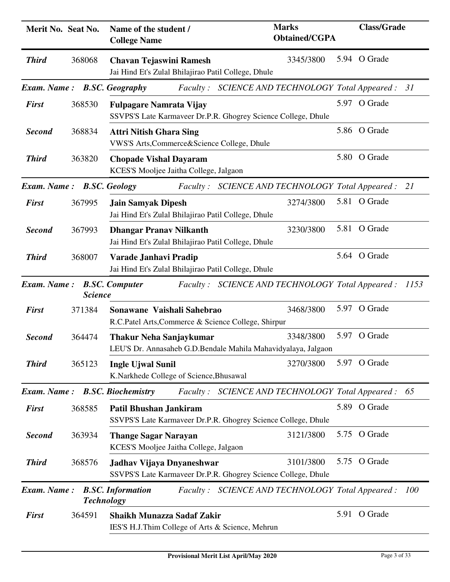| Merit No. Seat No. |                | Name of the student /<br><b>College Name</b>                                                    | <b>Marks</b><br><b>Obtained/CGPA</b>               | <b>Class/Grade</b> |      |
|--------------------|----------------|-------------------------------------------------------------------------------------------------|----------------------------------------------------|--------------------|------|
| <b>Third</b>       | 368068         | <b>Chavan Tejaswini Ramesh</b><br>Jai Hind Et's Zulal Bhilajirao Patil College, Dhule           | 3345/3800                                          | 5.94 O Grade       |      |
|                    |                | <b>Exam. Name:</b> B.SC. Geography                                                              | Faculty: SCIENCE AND TECHNOLOGY Total Appeared: 31 |                    |      |
| <b>First</b>       | 368530         | <b>Fulpagare Namrata Vijay</b><br>SSVPS'S Late Karmaveer Dr.P.R. Ghogrey Science College, Dhule |                                                    | 5.97 O Grade       |      |
| <b>Second</b>      | 368834         | <b>Attri Nitish Ghara Sing</b><br>VWS'S Arts, Commerce&Science College, Dhule                   |                                                    | 5.86 O Grade       |      |
| <b>Third</b>       | 363820         | <b>Chopade Vishal Dayaram</b><br>KCES'S Mooljee Jaitha College, Jalgaon                         |                                                    | 5.80 O Grade       |      |
| <b>Exam.</b> Name: |                | <b>B.SC.</b> Geology                                                                            | Faculty: SCIENCE AND TECHNOLOGY Total Appeared:    |                    | 21   |
| <b>First</b>       | 367995         | <b>Jain Samyak Dipesh</b><br>Jai Hind Et's Zulal Bhilajirao Patil College, Dhule                | 3274/3800                                          | 5.81 O Grade       |      |
| <b>Second</b>      | 367993         | <b>Dhangar Pranav Nilkanth</b><br>Jai Hind Et's Zulal Bhilajirao Patil College, Dhule           | 3230/3800                                          | 5.81 O Grade       |      |
| <b>Third</b>       | 368007         | Varade Janhavi Pradip<br>Jai Hind Et's Zulal Bhilajirao Patil College, Dhule                    |                                                    | 5.64 O Grade       |      |
| Exam. Name:        | <b>Science</b> | <b>B.SC. Computer</b>                                                                           | Faculty: SCIENCE AND TECHNOLOGY Total Appeared:    |                    | 1153 |
| <b>First</b>       | 371384         | Sonawane Vaishali Sahebrao<br>R.C.Patel Arts, Commerce & Science College, Shirpur               | 3468/3800                                          | 5.97 O Grade       |      |
| <b>Second</b>      | 364474         | <b>Thakur Neha Sanjaykumar</b><br>LEU'S Dr. Annasaheb G.D.Bendale Mahila Mahavidyalaya, Jalgaon | 5.97<br>3348/3800                                  | O Grade            |      |
| <b>Third</b>       | 365123         | <b>Ingle Ujwal Sunil</b><br>K.Narkhede College of Science, Bhusawal                             | 3270/3800                                          | 5.97 O Grade       |      |
| Exam. Name:        |                | <b>B.SC. Biochemistry</b>                                                                       | Faculty: SCIENCE AND TECHNOLOGY Total Appeared :   |                    | 65   |
| <b>First</b>       | 368585         | <b>Patil Bhushan Jankiram</b><br>SSVPS'S Late Karmaveer Dr.P.R. Ghogrey Science College, Dhule  |                                                    | 5.89 O Grade       |      |
| <b>Second</b>      | 363934         | <b>Thange Sagar Narayan</b><br>KCES'S Mooljee Jaitha College, Jalgaon                           | 3121/3800                                          | 5.75 O Grade       |      |
| <b>Third</b>       | 368576         | Jadhav Vijaya Dnyaneshwar<br>SSVPS'S Late Karmaveer Dr.P.R. Ghogrey Science College, Dhule      | 3101/3800                                          | 5.75 O Grade       |      |
| <b>Exam.</b> Name: |                | <b>B.SC.</b> Information<br><b>Technology</b>                                                   | Faculty: SCIENCE AND TECHNOLOGY Total Appeared:    |                    | 100  |
| <b>First</b>       | 364591         | <b>Shaikh Munazza Sadaf Zakir</b><br>IES'S H.J.Thim College of Arts & Science, Mehrun           |                                                    | 5.91 O Grade       |      |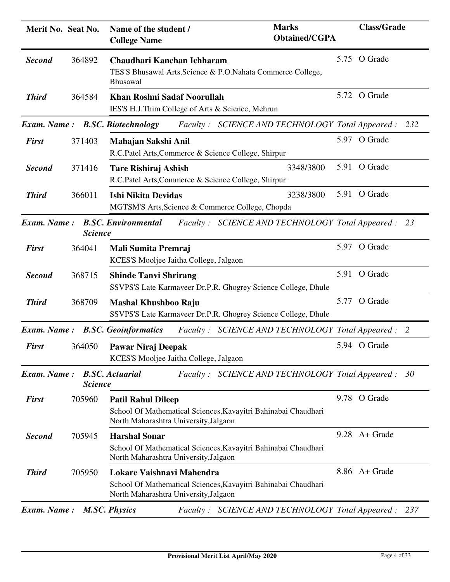| Merit No. Seat No. |                | Name of the student /<br><b>College Name</b>                                           | <b>Marks</b><br><b>Obtained/CGPA</b>                           | <b>Class/Grade</b> |     |
|--------------------|----------------|----------------------------------------------------------------------------------------|----------------------------------------------------------------|--------------------|-----|
| <b>Second</b>      | 364892         | Chaudhari Kanchan Ichharam<br><b>Bhusawal</b>                                          | TES'S Bhusawal Arts, Science & P.O. Nahata Commerce College,   | 5.75 O Grade       |     |
| <b>Third</b>       | 364584         | <b>Khan Roshni Sadaf Noorullah</b><br>IES'S H.J.Thim College of Arts & Science, Mehrun |                                                                | 5.72 O Grade       |     |
|                    |                | <b>Exam. Name: B.SC. Biotechnology</b>                                                 | Faculty: SCIENCE AND TECHNOLOGY Total Appeared:                |                    | 232 |
| <b>First</b>       | 371403         | Mahajan Sakshi Anil<br>R.C.Patel Arts, Commerce & Science College, Shirpur             |                                                                | 5.97 O Grade       |     |
| <b>Second</b>      | 371416         | <b>Tare Rishiraj Ashish</b><br>R.C.Patel Arts, Commerce & Science College, Shirpur     | 3348/3800                                                      | 5.91 O Grade       |     |
| <b>Third</b>       | 366011         | <b>Ishi Nikita Devidas</b><br>MGTSM'S Arts, Science & Commerce College, Chopda         | 3238/3800                                                      | 5.91 O Grade       |     |
| Exam. Name:        | <b>Science</b> | <b>B.SC. Environmental</b>                                                             | Faculty: SCIENCE AND TECHNOLOGY Total Appeared: 23             |                    |     |
| <b>First</b>       | 364041         | Mali Sumita Premraj<br>KCES'S Mooljee Jaitha College, Jalgaon                          |                                                                | 5.97 O Grade       |     |
| <b>Second</b>      | 368715         | <b>Shinde Tanvi Shrirang</b>                                                           | SSVPS'S Late Karmaveer Dr.P.R. Ghogrey Science College, Dhule  | 5.91 O Grade       |     |
| <b>Third</b>       | 368709         | <b>Mashal Khushboo Raju</b>                                                            | SSVPS'S Late Karmaveer Dr.P.R. Ghogrey Science College, Dhule  | 5.77 O Grade       |     |
|                    |                | Exam. Name: B.SC. Geoinformatics                                                       | Faculty: SCIENCE AND TECHNOLOGY Total Appeared : 2             |                    |     |
| <b>First</b>       | 364050         | Pawar Niraj Deepak<br>KCES'S Mooljee Jaitha College, Jalgaon                           |                                                                | 5.94 O Grade       |     |
| Exam. Name:        | <b>Science</b> | <b>B.SC.</b> Actuarial                                                                 | Faculty: SCIENCE AND TECHNOLOGY Total Appeared:                |                    | 30  |
| <b>First</b>       | 705960         | <b>Patil Rahul Dileep</b><br>North Maharashtra University, Jalgaon                     | School Of Mathematical Sciences, Kavayitri Bahinabai Chaudhari | 9.78 O Grade       |     |
| <b>Second</b>      | 705945         | <b>Harshal Sonar</b><br>North Maharashtra University, Jalgaon                          | School Of Mathematical Sciences, Kavayitri Bahinabai Chaudhari | $9.28$ A + Grade   |     |
| <b>Third</b>       | 705950         | Lokare Vaishnavi Mahendra<br>North Maharashtra University, Jalgaon                     | School Of Mathematical Sciences, Kavayitri Bahinabai Chaudhari | 8.86 A+ Grade      |     |
| Exam. Name:        |                | <b>M.SC. Physics</b><br><i>Faculty:</i>                                                | SCIENCE AND TECHNOLOGY Total Appeared :                        |                    | 237 |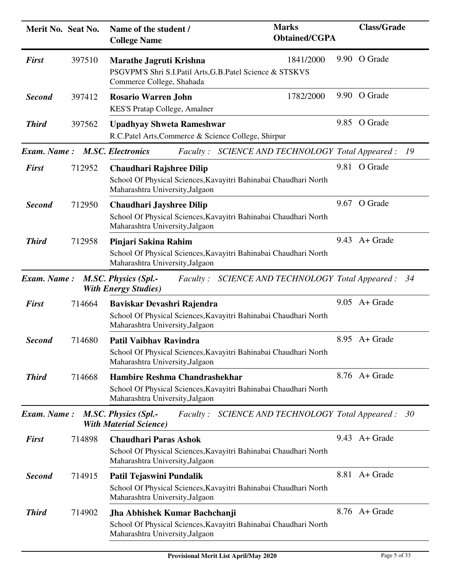| Merit No. Seat No. |        | Name of the student /<br><b>College Name</b>                                                                                           | <b>Marks</b><br><b>Obtained/CGPA</b> | <b>Class/Grade</b> |    |
|--------------------|--------|----------------------------------------------------------------------------------------------------------------------------------------|--------------------------------------|--------------------|----|
| <b>First</b>       | 397510 | Marathe Jagruti Krishna<br>PSGVPM'S Shri S.I.Patil Arts, G.B.Patel Science & STSKVS<br>Commerce College, Shahada                       | 1841/2000                            | 9.90 O Grade       |    |
| <b>Second</b>      | 397412 | <b>Rosario Warren John</b><br>KES'S Pratap College, Amalner                                                                            | 1782/2000                            | 9.90 O Grade       |    |
| <b>Third</b>       | 397562 | <b>Upadhyay Shweta Rameshwar</b><br>R.C.Patel Arts, Commerce & Science College, Shirpur                                                |                                      | 9.85 O Grade       |    |
| Exam. Name:        |        | <b>M.SC. Electronics</b><br>Faculty: SCIENCE AND TECHNOLOGY Total Appeared :                                                           |                                      |                    | 19 |
| <b>First</b>       | 712952 | <b>Chaudhari Rajshree Dilip</b><br>School Of Physical Sciences, Kavayitri Bahinabai Chaudhari North<br>Maharashtra University, Jalgaon |                                      | 9.81 O Grade       |    |
| <b>Second</b>      | 712950 | <b>Chaudhari Jayshree Dilip</b><br>School Of Physical Sciences, Kavayitri Bahinabai Chaudhari North<br>Maharashtra University, Jalgaon |                                      | 9.67 O Grade       |    |
| <b>Third</b>       | 712958 | Pinjari Sakina Rahim<br>School Of Physical Sciences, Kavayitri Bahinabai Chaudhari North<br>Maharashtra University, Jalgaon            |                                      | $9.43$ A + Grade   |    |
| Exam. Name:        |        | <b>M.SC. Physics (Spl.-</b><br>Faculty: SCIENCE AND TECHNOLOGY Total Appeared: 34<br><b>With Energy Studies</b> )                      |                                      |                    |    |
| <b>First</b>       | 714664 | Baviskar Devashri Rajendra<br>School Of Physical Sciences, Kavayitri Bahinabai Chaudhari North<br>Maharashtra University, Jalgaon      |                                      | $9.05$ A + Grade   |    |
| <b>Second</b>      | 714680 | <b>Patil Vaibhav Ravindra</b><br>School Of Physical Sciences, Kavayitri Bahinabai Chaudhari North<br>Maharashtra University, Jalgaon   |                                      | $8.95$ A + Grade   |    |
| <b>Third</b>       | 714668 | Hambire Reshma Chandrashekhar<br>School Of Physical Sciences, Kavayitri Bahinabai Chaudhari North<br>Maharashtra University, Jalgaon   |                                      | 8.76 A+ Grade      |    |
| <b>Exam.</b> Name: |        | M.SC. Physics (Spl.-<br>SCIENCE AND TECHNOLOGY Total Appeared :<br><i>Faculty</i> :<br><b>With Material Science</b> )                  |                                      |                    | 30 |
| <b>First</b>       | 714898 | <b>Chaudhari Paras Ashok</b><br>School Of Physical Sciences, Kavayitri Bahinabai Chaudhari North<br>Maharashtra University, Jalgaon    |                                      | $9.43$ A + Grade   |    |
| <b>Second</b>      | 714915 | Patil Tejaswini Pundalik<br>School Of Physical Sciences, Kavayitri Bahinabai Chaudhari North<br>Maharashtra University, Jalgaon        |                                      | 8.81 A + Grade     |    |
| <b>Third</b>       | 714902 | Jha Abhishek Kumar Bachchanji<br>School Of Physical Sciences, Kavayitri Bahinabai Chaudhari North<br>Maharashtra University, Jalgaon   |                                      | $8.76$ A + Grade   |    |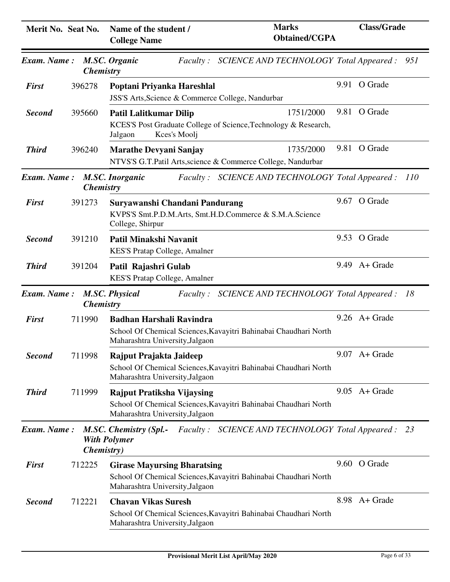| Merit No. Seat No. |                    | Name of the student /<br><b>College Name</b>                                                                  | <b>Marks</b><br><b>Obtained/CGPA</b>                                         |      | <b>Class/Grade</b> |     |
|--------------------|--------------------|---------------------------------------------------------------------------------------------------------------|------------------------------------------------------------------------------|------|--------------------|-----|
| Exam. Name:        | <b>Chemistry</b>   | <b>M.SC. Organic</b>                                                                                          | Faculty: SCIENCE AND TECHNOLOGY Total Appeared:                              |      |                    | 951 |
| <b>First</b>       | 396278             | Poptani Priyanka Hareshlal<br>JSS'S Arts, Science & Commerce College, Nandurbar                               |                                                                              |      | 9.91 O Grade       |     |
| <b>Second</b>      | 395660             | <b>Patil Lalitkumar Dilip</b><br>Kces's Moolj<br>Jalgaon                                                      | 1751/2000<br>KCES'S Post Graduate College of Science, Technology & Research, |      | 9.81 O Grade       |     |
| <b>Third</b>       | 396240             | <b>Marathe Devyani Sanjay</b>                                                                                 | 1735/2000<br>NTVS'S G.T.Patil Arts, science & Commerce College, Nandurbar    |      | 9.81 O Grade       |     |
| Exam. Name:        | <b>Chemistry</b>   | <b>M.SC. Inorganic</b>                                                                                        | Faculty: SCIENCE AND TECHNOLOGY Total Appeared:                              |      |                    | 110 |
| <b>First</b>       | 391273             | Suryawanshi Chandani Pandurang<br>KVPS'S Smt.P.D.M.Arts, Smt.H.D.Commerce & S.M.A.Science<br>College, Shirpur |                                                                              |      | 9.67 O Grade       |     |
| <b>Second</b>      | 391210             | Patil Minakshi Navanit<br><b>KES'S Pratap College, Amalner</b>                                                |                                                                              |      | 9.53 O Grade       |     |
| <b>Third</b>       | 391204             | Patil Rajashri Gulab<br>KES'S Pratap College, Amalner                                                         |                                                                              | 9.49 | A+ Grade           |     |
| <b>Exam.</b> Name: | <b>Chemistry</b>   | <b>M.SC. Physical</b>                                                                                         | Faculty: SCIENCE AND TECHNOLOGY Total Appeared :                             |      |                    | -18 |
| <b>First</b>       | 711990             | <b>Badhan Harshali Ravindra</b><br>Maharashtra University, Jalgaon                                            | School Of Chemical Sciences, Kavayitri Bahinabai Chaudhari North             |      | $9.26$ A + Grade   |     |
| <b>Second</b>      | 711998             | Rajput Prajakta Jaideep<br>Maharashtra University, Jalgaon                                                    | School Of Chemical Sciences, Kavayitri Bahinabai Chaudhari North             |      | $9.07$ A+ Grade    |     |
| <b>Third</b>       | 711999             | Rajput Pratiksha Vijaysing<br>Maharashtra University, Jalgaon                                                 | School Of Chemical Sciences, Kavayitri Bahinabai Chaudhari North             |      | $9.05$ A + Grade   |     |
| Exam. Name:        | <i>Chemistry</i> ) | <b>M.SC. Chemistry (Spl.-</b><br><b>With Polymer</b>                                                          | Faculty: SCIENCE AND TECHNOLOGY Total Appeared:                              |      |                    | 23  |
| <b>First</b>       | 712225             | <b>Girase Mayursing Bharatsing</b><br>Maharashtra University, Jalgaon                                         | School Of Chemical Sciences, Kavayitri Bahinabai Chaudhari North             |      | 9.60 O Grade       |     |
| <b>Second</b>      | 712221             | <b>Chavan Vikas Suresh</b><br>Maharashtra University, Jalgaon                                                 | School Of Chemical Sciences, Kavayitri Bahinabai Chaudhari North             |      | 8.98 A + Grade     |     |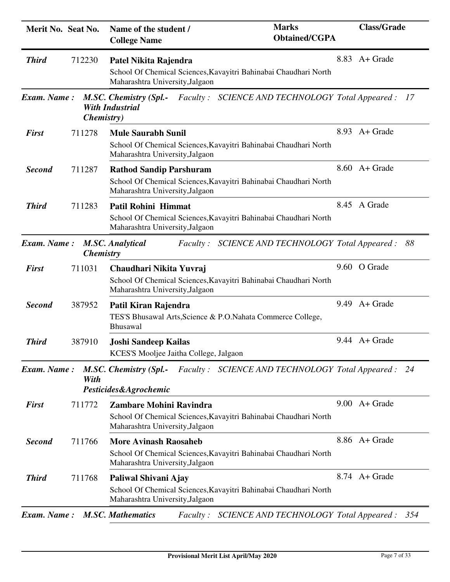| Merit No. Seat No. |                    | Name of the student /<br><b>College Name</b>                                                                                          | <b>Marks</b><br><b>Obtained/CGPA</b>                | <b>Class/Grade</b> |
|--------------------|--------------------|---------------------------------------------------------------------------------------------------------------------------------------|-----------------------------------------------------|--------------------|
| <b>Third</b>       | 712230             | Patel Nikita Rajendra<br>School Of Chemical Sciences, Kavayitri Bahinabai Chaudhari North<br>Maharashtra University, Jalgaon          |                                                     | 8.83 A + Grade     |
| <b>Exam.</b> Name: | <i>Chemistry</i> ) | <b>M.SC. Chemistry (Spl.-</b><br><b>With Industrial</b>                                                                               | Faculty: SCIENCE AND TECHNOLOGY Total Appeared: 17  |                    |
| <b>First</b>       | 711278             | <b>Mule Saurabh Sunil</b><br>School Of Chemical Sciences, Kavayitri Bahinabai Chaudhari North<br>Maharashtra University, Jalgaon      |                                                     | 8.93 A + Grade     |
| <b>Second</b>      | 711287             | <b>Rathod Sandip Parshuram</b><br>School Of Chemical Sciences, Kavayitri Bahinabai Chaudhari North<br>Maharashtra University, Jalgaon |                                                     | 8.60 A+ Grade      |
| <b>Third</b>       | 711283             | Patil Rohini Himmat<br>School Of Chemical Sciences, Kavayitri Bahinabai Chaudhari North<br>Maharashtra University, Jalgaon            |                                                     | 8.45 A Grade       |
| <b>Exam.</b> Name: | <b>Chemistry</b>   | <b>M.SC. Analytical</b>                                                                                                               | Faculty: SCIENCE AND TECHNOLOGY Total Appeared: 88  |                    |
| <b>First</b>       | 711031             | Chaudhari Nikita Yuvraj<br>School Of Chemical Sciences, Kavayitri Bahinabai Chaudhari North<br>Maharashtra University, Jalgaon        |                                                     | 9.60 O Grade       |
| <b>Second</b>      | 387952             | Patil Kiran Rajendra<br>TES'S Bhusawal Arts, Science & P.O. Nahata Commerce College,<br><b>Bhusawal</b>                               |                                                     | $9.49$ A + Grade   |
| <b>Third</b>       | 387910             | <b>Joshi Sandeep Kailas</b><br>KCES'S Mooljee Jaitha College, Jalgaon                                                                 |                                                     | $9.44$ A + Grade   |
| <b>Exam.</b> Name: | With               | <b>M.SC. Chemistry (Spl.-</b><br>Pesticides&Agrochemic                                                                                | Faculty: SCIENCE AND TECHNOLOGY Total Appeared: 24  |                    |
| <b>First</b>       | 711772             | <b>Zambare Mohini Ravindra</b><br>School Of Chemical Sciences, Kavayitri Bahinabai Chaudhari North<br>Maharashtra University, Jalgaon |                                                     | $9.00$ A + Grade   |
| <b>Second</b>      | 711766             | <b>More Avinash Raosaheb</b><br>School Of Chemical Sciences, Kavayitri Bahinabai Chaudhari North<br>Maharashtra University, Jalgaon   |                                                     | 8.86 A+ Grade      |
| <b>Third</b>       | 711768             | Paliwal Shivani Ajay<br>School Of Chemical Sciences, Kavayitri Bahinabai Chaudhari North<br>Maharashtra University, Jalgaon           |                                                     | 8.74 A + Grade     |
| <b>Exam.</b> Name: |                    | <b>M.SC. Mathematics</b>                                                                                                              | Faculty: SCIENCE AND TECHNOLOGY Total Appeared: 354 |                    |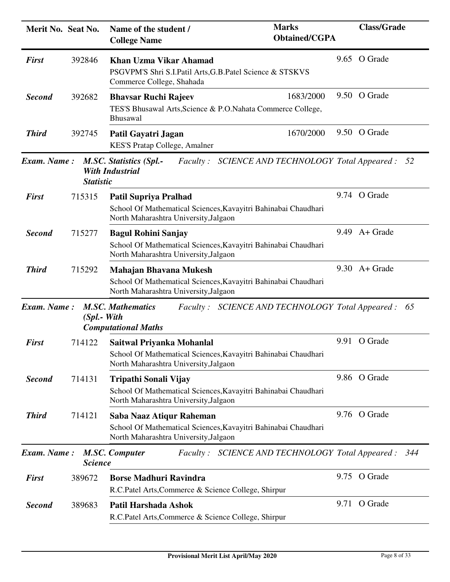| Merit No. Seat No. |                  | Name of the student /<br><b>College Name</b>                                                                                            | <b>Marks</b><br><b>Obtained/CGPA</b> | <b>Class/Grade</b>              |
|--------------------|------------------|-----------------------------------------------------------------------------------------------------------------------------------------|--------------------------------------|---------------------------------|
| <b>First</b>       | 392846           | <b>Khan Uzma Vikar Ahamad</b><br>PSGVPM'S Shri S.I.Patil Arts, G.B.Patel Science & STSKVS<br>Commerce College, Shahada                  |                                      | 9.65 O Grade                    |
| <b>Second</b>      | 392682           | <b>Bhavsar Ruchi Rajeev</b><br>TES'S Bhusawal Arts, Science & P.O. Nahata Commerce College,<br>Bhusawal                                 | 1683/2000                            | 9.50 O Grade                    |
| <b>Third</b>       | 392745           | Patil Gayatri Jagan<br>KES'S Pratap College, Amalner                                                                                    | 1670/2000                            | 9.50 O Grade                    |
| <b>Exam.</b> Name: | <b>Statistic</b> | <b>M.SC. Statistics (Spl.-</b><br>Faculty: SCIENCE AND TECHNOLOGY Total Appeared: 52<br><b>With Industrial</b>                          |                                      |                                 |
| <b>First</b>       | 715315           | <b>Patil Supriya Pralhad</b><br>School Of Mathematical Sciences, Kavayitri Bahinabai Chaudhari<br>North Maharashtra University, Jalgaon |                                      | 9.74 O Grade                    |
| <b>Second</b>      | 715277           | <b>Bagul Rohini Sanjay</b><br>School Of Mathematical Sciences, Kavayitri Bahinabai Chaudhari<br>North Maharashtra University, Jalgaon   |                                      | $9.49$ A + Grade                |
| <b>Third</b>       | 715292           | Mahajan Bhavana Mukesh<br>School Of Mathematical Sciences, Kavayitri Bahinabai Chaudhari<br>North Maharashtra University, Jalgaon       |                                      | $9.30 \text{ A} + \text{Grade}$ |
| <b>Exam.</b> Name: | $(Spl. - With$   | <b>M.SC. Mathematics</b><br>Faculty: SCIENCE AND TECHNOLOGY Total Appeared :<br><b>Computational Maths</b>                              |                                      | 65                              |
| <b>First</b>       | 714122           | Saitwal Priyanka Mohanlal<br>School Of Mathematical Sciences, Kavayitri Bahinabai Chaudhari<br>North Maharashtra University, Jalgaon    |                                      | 9.91 O Grade                    |
| <b>Second</b>      | 714131           | Tripathi Sonali Vijay<br>School Of Mathematical Sciences, Kavayitri Bahinabai Chaudhari<br>North Maharashtra University, Jalgaon        |                                      | 9.86 O Grade                    |
| <b>Third</b>       | 714121           | Saba Naaz Atiqur Raheman<br>School Of Mathematical Sciences, Kavayitri Bahinabai Chaudhari<br>North Maharashtra University, Jalgaon     |                                      | 9.76 O Grade                    |
| <b>Exam.</b> Name: | <b>Science</b>   | <b>M.SC. Computer</b><br>Faculty: SCIENCE AND TECHNOLOGY Total Appeared: 344                                                            |                                      |                                 |
| <b>First</b>       | 389672           | <b>Borse Madhuri Ravindra</b><br>R.C.Patel Arts, Commerce & Science College, Shirpur                                                    |                                      | 9.75 O Grade                    |
| <b>Second</b>      | 389683           | Patil Harshada Ashok<br>R.C.Patel Arts, Commerce & Science College, Shirpur                                                             |                                      | 9.71 O Grade                    |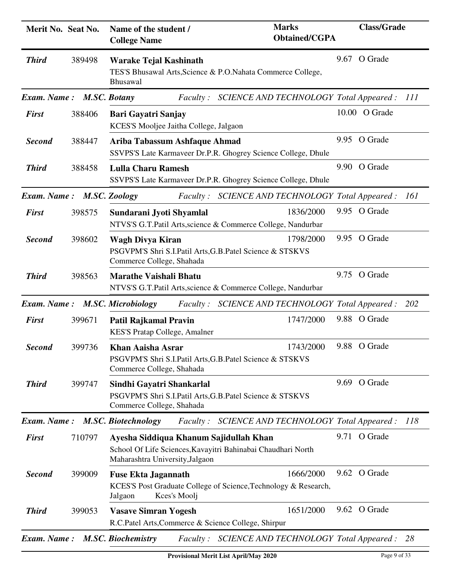| Merit No. Seat No.       |        | Name of the student /<br><b>College Name</b>                                                                                              | <b>Marks</b><br><b>Obtained/CGPA</b>                                         | <b>Class/Grade</b> |     |
|--------------------------|--------|-------------------------------------------------------------------------------------------------------------------------------------------|------------------------------------------------------------------------------|--------------------|-----|
| <b>Third</b>             | 389498 | <b>Warake Tejal Kashinath</b><br>Bhusawal                                                                                                 | TES'S Bhusawal Arts, Science & P.O. Nahata Commerce College,                 | 9.67 O Grade       |     |
| Exam. Name: M.SC. Botany |        | <i>Faculty:</i>                                                                                                                           | SCIENCE AND TECHNOLOGY Total Appeared :                                      |                    | 111 |
| <b>First</b>             | 388406 | Bari Gayatri Sanjay<br>KCES'S Mooljee Jaitha College, Jalgaon                                                                             |                                                                              | 10.00 O Grade      |     |
| <b>Second</b>            | 388447 | Ariba Tabassum Ashfaque Ahmad                                                                                                             | SSVPS'S Late Karmaveer Dr.P.R. Ghogrey Science College, Dhule                | 9.95 O Grade       |     |
| <b>Third</b>             | 388458 | <b>Lulla Charu Ramesh</b>                                                                                                                 | SSVPS'S Late Karmaveer Dr.P.R. Ghogrey Science College, Dhule                | 9.90 O Grade       |     |
| Exam. Name:              |        | <b>M.SC. Zoology</b><br><i>Faculty:</i>                                                                                                   | SCIENCE AND TECHNOLOGY Total Appeared :                                      |                    | 161 |
| <b>First</b>             | 398575 | Sundarani Jyoti Shyamlal                                                                                                                  | 1836/2000<br>NTVS'S G.T.Patil Arts, science & Commerce College, Nandurbar    | 9.95 O Grade       |     |
| <b>Second</b>            | 398602 | Wagh Divya Kiran<br>PSGVPM'S Shri S.I.Patil Arts, G.B.Patel Science & STSKVS<br>Commerce College, Shahada                                 | 1798/2000                                                                    | 9.95 O Grade       |     |
| <b>Third</b>             | 398563 | <b>Marathe Vaishali Bhatu</b>                                                                                                             | NTVS'S G.T.Patil Arts, science & Commerce College, Nandurbar                 | 9.75 O Grade       |     |
|                          |        | Exam. Name: M.SC. Microbiology<br><i>Faculty:</i>                                                                                         | SCIENCE AND TECHNOLOGY Total Appeared : 202                                  |                    |     |
| <b>First</b>             | 399671 | Patil Rajkamal Pravin<br>KES'S Pratap College, Amalner                                                                                    | 1747/2000                                                                    | 9.88 O Grade       |     |
| <b>Second</b>            | 399736 | <b>Khan Aaisha Asrar</b><br>PSGVPM'S Shri S.I.Patil Arts, G.B.Patel Science & STSKVS<br>Commerce College, Shahada                         | 1743/2000                                                                    | 9.88 O Grade       |     |
| <b>Third</b>             | 399747 | Sindhi Gayatri Shankarlal<br>PSGVPM'S Shri S.I.Patil Arts, G.B.Patel Science & STSKVS<br>Commerce College, Shahada                        |                                                                              | 9.69 O Grade       |     |
|                          |        | Exam. Name: M.SC. Biotechnology<br><i>Faculty:</i>                                                                                        | SCIENCE AND TECHNOLOGY Total Appeared :                                      |                    | 118 |
| <b>First</b>             | 710797 | Ayesha Siddiqua Khanum Sajidullah Khan<br>School Of Life Sciences, Kavayitri Bahinabai Chaudhari North<br>Maharashtra University, Jalgaon |                                                                              | 9.71 O Grade       |     |
| <b>Second</b>            | 399009 | <b>Fuse Ekta Jagannath</b><br>Kces's Moolj<br>Jalgaon                                                                                     | 1666/2000<br>KCES'S Post Graduate College of Science, Technology & Research, | 9.62 O Grade       |     |
| <b>Third</b>             | 399053 | <b>Vasave Simran Yogesh</b><br>R.C.Patel Arts, Commerce & Science College, Shirpur                                                        | 1651/2000                                                                    | 9.62 O Grade       |     |
| Exam. Name:              |        | <b>M.SC. Biochemistry</b>                                                                                                                 | Faculty: SCIENCE AND TECHNOLOGY Total Appeared: 28                           |                    |     |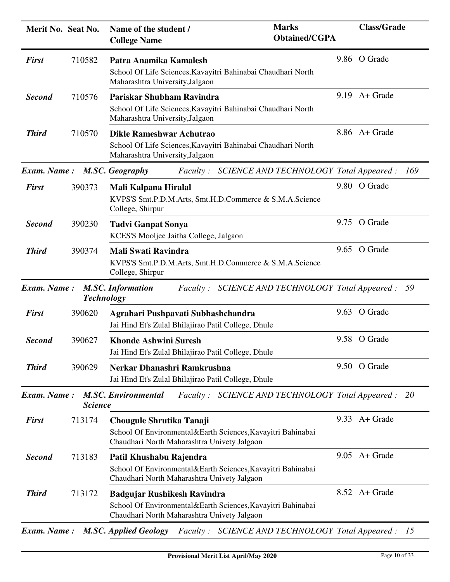| Merit No. Seat No.          |                              | Name of the student /<br><b>College Name</b>                                                                                                     | <b>Marks</b><br><b>Obtained/CGPA</b>            | <b>Class/Grade</b> |
|-----------------------------|------------------------------|--------------------------------------------------------------------------------------------------------------------------------------------------|-------------------------------------------------|--------------------|
| <b>First</b>                | 710582                       | Patra Anamika Kamalesh<br>School Of Life Sciences, Kavayitri Bahinabai Chaudhari North<br>Maharashtra University, Jalgaon                        |                                                 | 9.86 O Grade       |
| <b>Second</b>               | 710576                       | Pariskar Shubham Ravindra<br>School Of Life Sciences, Kavayitri Bahinabai Chaudhari North<br>Maharashtra University, Jalgaon                     |                                                 | $9.19$ A + Grade   |
| <b>Third</b>                | 710570                       | Dikle Rameshwar Achutrao<br>School Of Life Sciences, Kavayitri Bahinabai Chaudhari North<br>Maharashtra University, Jalgaon                      |                                                 | 8.86 A+ Grade      |
| Exam. Name: M.SC. Geography |                              | <i>Faculty :</i>                                                                                                                                 | SCIENCE AND TECHNOLOGY Total Appeared :         | 169                |
| <b>First</b>                | 390373                       | Mali Kalpana Hiralal<br>KVPS'S Smt.P.D.M.Arts, Smt.H.D.Commerce & S.M.A.Science<br>College, Shirpur                                              |                                                 | 9.80 O Grade       |
| <b>Second</b>               | 390230                       | <b>Tadvi Ganpat Sonya</b><br>KCES'S Mooljee Jaitha College, Jalgaon                                                                              |                                                 | 9.75 O Grade       |
| <b>Third</b>                | 390374                       | <b>Mali Swati Ravindra</b><br>KVPS'S Smt.P.D.M.Arts, Smt.H.D.Commerce & S.M.A.Science<br>College, Shirpur                                        |                                                 | 9.65 O Grade       |
| <b>Exam.</b> Name:          | <b>Technology</b>            | <b>M.SC. Information</b><br><i>Faculty:</i>                                                                                                      | SCIENCE AND TECHNOLOGY Total Appeared :         | 59                 |
| <b>First</b>                | 390620                       | Agrahari Pushpavati Subhashchandra<br>Jai Hind Et's Zulal Bhilajirao Patil College, Dhule                                                        |                                                 | 9.63 O Grade       |
| <b>Second</b>               | 390627                       | <b>Khonde Ashwini Suresh</b><br>Jai Hind Et's Zulal Bhilajirao Patil College, Dhule                                                              | 9.58                                            | O Grade            |
| <b>Third</b>                | 390629                       | Nerkar Dhanashri Ramkrushna<br>Jai Hind Et's Zulal Bhilajirao Patil College, Dhule                                                               |                                                 | 9.50 O Grade       |
| Exam. Name:                 | <i><u><b>Science</b></u></i> | <b>M.SC. Environmental</b>                                                                                                                       | Faculty: SCIENCE AND TECHNOLOGY Total Appeared: | <i>20</i>          |
| <b>First</b>                | 713174                       | Chougule Shrutika Tanaji<br>School Of Environmental&Earth Sciences, Kavayitri Bahinabai<br>Chaudhari North Maharashtra Univety Jalgaon           |                                                 | $9.33$ A + Grade   |
| <b>Second</b>               | 713183                       | Patil Khushabu Rajendra<br>School Of Environmental&Earth Sciences, Kavayitri Bahinabai<br>Chaudhari North Maharashtra Univety Jalgaon            |                                                 | $9.05$ A + Grade   |
| <b>Third</b>                | 713172                       | <b>Badgujar Rushikesh Ravindra</b><br>School Of Environmental&Earth Sciences, Kavayitri Bahinabai<br>Chaudhari North Maharashtra Univety Jalgaon |                                                 | 8.52 A + Grade     |
| <b>Exam.</b> Name:          |                              | <b>M.SC. Applied Geology</b><br>Faculty: SCIENCE AND TECHNOLOGY Total Appeared :                                                                 |                                                 | 15                 |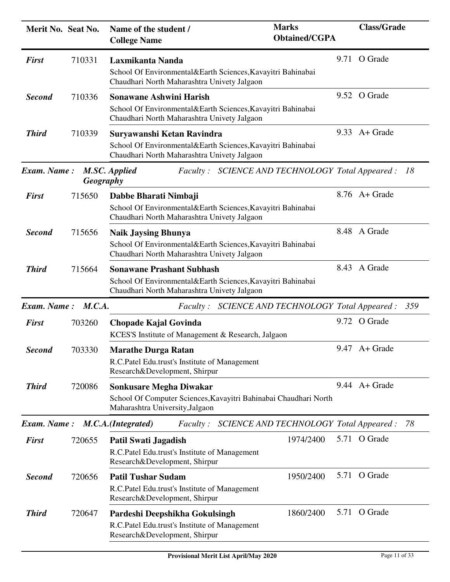| Merit No. Seat No. |                  | Name of the student /<br><b>College Name</b>                                                                                                   | <b>Marks</b><br><b>Obtained/CGPA</b> |      | <b>Class/Grade</b> |     |
|--------------------|------------------|------------------------------------------------------------------------------------------------------------------------------------------------|--------------------------------------|------|--------------------|-----|
| <b>First</b>       | 710331           | Laxmikanta Nanda<br>School Of Environmental&Earth Sciences, Kavayitri Bahinabai<br>Chaudhari North Maharashtra Univety Jalgaon                 |                                      |      | 9.71 O Grade       |     |
| <b>Second</b>      | 710336           | <b>Sonawane Ashwini Harish</b><br>School Of Environmental&Earth Sciences, Kavayitri Bahinabai<br>Chaudhari North Maharashtra Univety Jalgaon   |                                      |      | 9.52 O Grade       |     |
| <b>Third</b>       | 710339           | Suryawanshi Ketan Ravindra<br>School Of Environmental&Earth Sciences, Kavayitri Bahinabai<br>Chaudhari North Maharashtra Univety Jalgaon       |                                      |      | $9.33$ A + Grade   |     |
| <b>Exam.</b> Name: | <b>Geography</b> | M.SC. Applied<br>Faculty: SCIENCE AND TECHNOLOGY Total Appeared: 18                                                                            |                                      |      |                    |     |
| <b>First</b>       | 715650           | Dabbe Bharati Nimbaji<br>School Of Environmental&Earth Sciences, Kavayitri Bahinabai<br>Chaudhari North Maharashtra Univety Jalgaon            |                                      |      | 8.76 A+ Grade      |     |
| <b>Second</b>      | 715656           | <b>Naik Jaysing Bhunya</b><br>School Of Environmental&Earth Sciences, Kavayitri Bahinabai<br>Chaudhari North Maharashtra Univety Jalgaon       |                                      |      | 8.48 A Grade       |     |
| <b>Third</b>       | 715664           | <b>Sonawane Prashant Subhash</b><br>School Of Environmental&Earth Sciences, Kavayitri Bahinabai<br>Chaudhari North Maharashtra Univety Jalgaon |                                      |      | 8.43 A Grade       |     |
| Exam. Name: M.C.A. |                  | Faculty: SCIENCE AND TECHNOLOGY Total Appeared :                                                                                               |                                      |      |                    | 359 |
| <b>First</b>       | 703260           | Chopade Kajal Govinda<br>KCES'S Institute of Management & Research, Jalgaon                                                                    |                                      |      | 9.72 O Grade       |     |
| Second             | 703330           | <b>Marathe Durga Ratan</b><br>R.C.Patel Edu.trust's Institute of Management<br>Research&Development, Shirpur                                   |                                      |      | $9.47$ A + Grade   |     |
| <b>Third</b>       | 720086           | <b>Sonkusare Megha Diwakar</b><br>School Of Computer Sciences, Kavayitri Bahinabai Chaudhari North<br>Maharashtra University, Jalgaon          |                                      |      | $9.44$ A + Grade   |     |
|                    |                  | Faculty: SCIENCE AND TECHNOLOGY Total Appeared:<br>Exam. Name: M.C.A.(Integrated)                                                              |                                      |      |                    | 78  |
| <b>First</b>       | 720655           | <b>Patil Swati Jagadish</b><br>R.C.Patel Edu.trust's Institute of Management<br>Research&Development, Shirpur                                  | 1974/2400                            |      | 5.71 O Grade       |     |
| <b>Second</b>      | 720656           | <b>Patil Tushar Sudam</b><br>R.C.Patel Edu.trust's Institute of Management<br>Research&Development, Shirpur                                    | 1950/2400                            |      | 5.71 O Grade       |     |
| <b>Third</b>       | 720647           | Pardeshi Deepshikha Gokulsingh<br>R.C.Patel Edu.trust's Institute of Management<br>Research&Development, Shirpur                               | 1860/2400                            | 5.71 | O Grade            |     |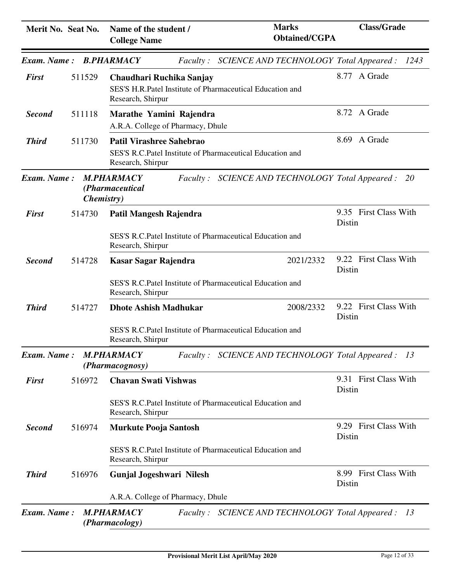| Merit No. Seat No.     |                    | Name of the student /<br><b>College Name</b>                                                                      | <b>Marks</b><br><b>Obtained/CGPA</b>               | <b>Class/Grade</b>              |
|------------------------|--------------------|-------------------------------------------------------------------------------------------------------------------|----------------------------------------------------|---------------------------------|
| Exam. Name: B.PHARMACY |                    |                                                                                                                   | Faculty: SCIENCE AND TECHNOLOGY Total Appeared:    | 1243                            |
| <b>First</b>           | 511529             | Chaudhari Ruchika Sanjay<br>SES'S H.R.Patel Institute of Pharmaceutical Education and<br>Research, Shirpur        |                                                    | 8.77 A Grade                    |
| <b>Second</b>          | 511118             | Marathe Yamini Rajendra<br>A.R.A. College of Pharmacy, Dhule                                                      |                                                    | 8.72 A Grade                    |
| <b>Third</b>           | 511730             | <b>Patil Virashree Sahebrao</b><br>SES'S R.C.Patel Institute of Pharmaceutical Education and<br>Research, Shirpur |                                                    | 8.69 A Grade                    |
| Exam. Name:            | <i>Chemistry</i> ) | <b>M.PHARMACY</b><br>(Pharmaceutical                                                                              | Faculty: SCIENCE AND TECHNOLOGY Total Appeared:    | 20                              |
| <b>First</b>           | 514730             | Patil Mangesh Rajendra                                                                                            |                                                    | 9.35 First Class With<br>Distin |
|                        |                    | SES'S R.C.Patel Institute of Pharmaceutical Education and<br>Research, Shirpur                                    |                                                    |                                 |
| <b>Second</b>          | 514728             | Kasar Sagar Rajendra                                                                                              | 2021/2332                                          | 9.22 First Class With<br>Distin |
|                        |                    | SES'S R.C. Patel Institute of Pharmaceutical Education and<br>Research, Shirpur                                   |                                                    |                                 |
| <b>Third</b>           | 514727             | <b>Dhote Ashish Madhukar</b>                                                                                      | 2008/2332                                          | 9.22 First Class With<br>Distin |
|                        |                    | SES'S R.C.Patel Institute of Pharmaceutical Education and<br>Research, Shirpur                                    |                                                    |                                 |
| Exam. Name:            |                    | <b>M.PHARMACY</b><br>(Pharmacognosy)                                                                              | Faculty: SCIENCE AND TECHNOLOGY Total Appeared: 13 |                                 |
| <b>First</b>           | 516972             | <b>Chavan Swati Vishwas</b>                                                                                       |                                                    | 9.31 First Class With<br>Distin |
|                        |                    | SES'S R.C.Patel Institute of Pharmaceutical Education and<br>Research, Shirpur                                    |                                                    |                                 |
| <b>Second</b>          | 516974             | <b>Murkute Pooja Santosh</b>                                                                                      |                                                    | 9.29 First Class With<br>Distin |
|                        |                    | SES'S R.C.Patel Institute of Pharmaceutical Education and<br>Research, Shirpur                                    |                                                    |                                 |
| <b>Third</b>           | 516976             | <b>Gunjal Jogeshwari Nilesh</b>                                                                                   |                                                    | 8.99 First Class With<br>Distin |
|                        |                    | A.R.A. College of Pharmacy, Dhule                                                                                 |                                                    |                                 |
| Exam. Name:            |                    | <b>M.PHARMACY</b><br>(Pharmacology)                                                                               | Faculty: SCIENCE AND TECHNOLOGY Total Appeared :   | <i>13</i>                       |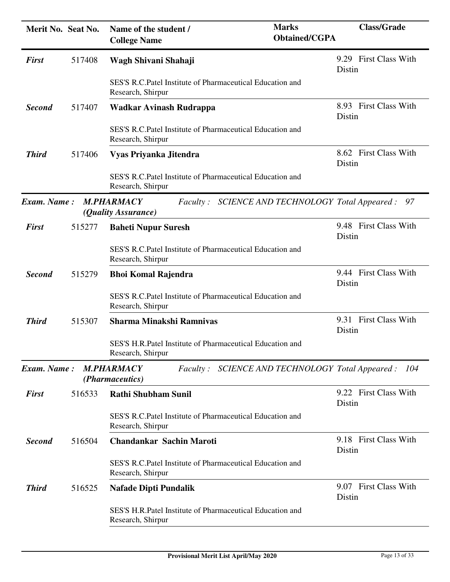| Merit No. Seat No. |        | <b>Marks</b><br>Name of the student /<br><b>Obtained/CGPA</b><br><b>College Name</b>                          | <b>Class/Grade</b>              |
|--------------------|--------|---------------------------------------------------------------------------------------------------------------|---------------------------------|
| <b>First</b>       | 517408 | Wagh Shivani Shahaji                                                                                          | 9.29 First Class With<br>Distin |
|                    |        | SES'S R.C.Patel Institute of Pharmaceutical Education and<br>Research, Shirpur                                |                                 |
| <b>Second</b>      | 517407 | Wadkar Avinash Rudrappa                                                                                       | 8.93 First Class With<br>Distin |
|                    |        | SES'S R.C.Patel Institute of Pharmaceutical Education and<br>Research, Shirpur                                |                                 |
| <b>Third</b>       | 517406 | Vyas Priyanka Jitendra                                                                                        | 8.62 First Class With<br>Distin |
|                    |        | SES'S R.C.Patel Institute of Pharmaceutical Education and<br>Research, Shirpur                                |                                 |
| <b>Exam. Name:</b> |        | <b>M.PHARMACY</b><br>Faculty: SCIENCE AND TECHNOLOGY Total Appeared :<br>(Quality Assurance)                  | 97                              |
| <b>First</b>       | 515277 | <b>Baheti Nupur Suresh</b>                                                                                    | 9.48 First Class With<br>Distin |
|                    |        | SES'S R.C.Patel Institute of Pharmaceutical Education and<br>Research, Shirpur                                |                                 |
| <b>Second</b>      | 515279 | <b>Bhoi Komal Rajendra</b>                                                                                    | 9.44 First Class With<br>Distin |
|                    |        | SES'S R.C.Patel Institute of Pharmaceutical Education and<br>Research, Shirpur                                |                                 |
| <b>Third</b>       | 515307 | <b>Sharma Minakshi Ramnivas</b>                                                                               | 9.31 First Class With<br>Distin |
|                    |        | SES'S H.R.Patel Institute of Pharmaceutical Education and<br>Research, Shirpur                                |                                 |
| Exam. Name:        |        | <b>M.PHARMACY</b><br>SCIENCE AND TECHNOLOGY Total Appeared : 104<br><i>Faculty:</i><br><i>(Pharmaceutics)</i> |                                 |
| <b>First</b>       | 516533 | <b>Rathi Shubham Sunil</b>                                                                                    | 9.22 First Class With<br>Distin |
|                    |        | SES'S R.C.Patel Institute of Pharmaceutical Education and<br>Research, Shirpur                                |                                 |
| <b>Second</b>      | 516504 | <b>Chandankar Sachin Maroti</b>                                                                               | 9.18 First Class With<br>Distin |
|                    |        | SES'S R.C.Patel Institute of Pharmaceutical Education and<br>Research, Shirpur                                |                                 |
| <b>Third</b>       | 516525 | <b>Nafade Dipti Pundalik</b>                                                                                  | 9.07 First Class With<br>Distin |
|                    |        | SES'S H.R.Patel Institute of Pharmaceutical Education and<br>Research, Shirpur                                |                                 |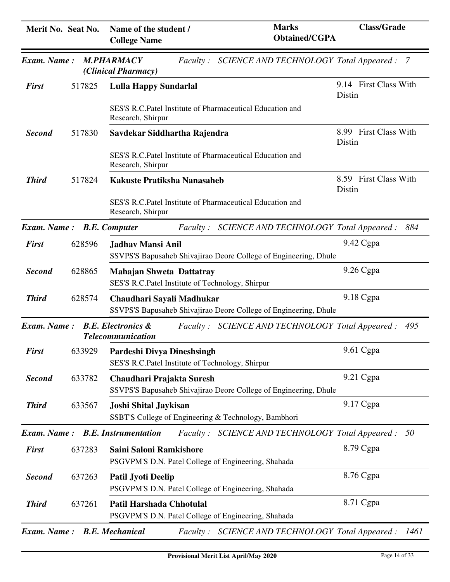| Merit No. Seat No.        |        | Name of the student /<br><b>College Name</b>                                           | <b>Marks</b><br><b>Obtained/CGPA</b>                             | <b>Class/Grade</b>              |
|---------------------------|--------|----------------------------------------------------------------------------------------|------------------------------------------------------------------|---------------------------------|
| Exam. Name:               |        | <b>M.PHARMACY</b><br>(Clinical Pharmacy)                                               | Faculty: SCIENCE AND TECHNOLOGY Total Appeared: 7                |                                 |
| <b>First</b>              | 517825 | <b>Lulla Happy Sundarlal</b>                                                           |                                                                  | 9.14 First Class With<br>Distin |
|                           |        | Research, Shirpur                                                                      | SES'S R.C.Patel Institute of Pharmaceutical Education and        |                                 |
| <b>Second</b>             | 517830 | Savdekar Siddhartha Rajendra                                                           |                                                                  | 8.99 First Class With<br>Distin |
|                           |        | Research, Shirpur                                                                      | SES'S R.C.Patel Institute of Pharmaceutical Education and        |                                 |
| <b>Third</b>              | 517824 | Kakuste Pratiksha Nanasaheb                                                            |                                                                  | 8.59 First Class With<br>Distin |
|                           |        | Research, Shirpur                                                                      | SES'S R.C.Patel Institute of Pharmaceutical Education and        |                                 |
| Exam. Name: B.E. Computer |        | <i>Faculty:</i>                                                                        | SCIENCE AND TECHNOLOGY Total Appeared :                          | 884                             |
| <b>First</b>              | 628596 | Jadhav Mansi Anil                                                                      | SSVPS'S Bapusaheb Shivajirao Deore College of Engineering, Dhule | 9.42 Cgpa                       |
| <b>Second</b>             | 628865 | <b>Mahajan Shweta Dattatray</b><br>SES'S R.C.Patel Institute of Technology, Shirpur    |                                                                  | 9.26 Cgpa                       |
| <b>Third</b>              | 628574 | Chaudhari Sayali Madhukar                                                              | SSVPS'S Bapusaheb Shivajirao Deore College of Engineering, Dhule | 9.18 Cgpa                       |
| Exam. Name:               |        | <b>B.E. Electronics &amp;</b><br><b>Telecommunication</b>                              | Faculty: SCIENCE AND TECHNOLOGY Total Appeared:                  | 495                             |
| <b>First</b>              |        | 633929 Pardeshi Divya Dineshsingh<br>SES'S R.C.Patel Institute of Technology, Shirpur  |                                                                  | 9.61 Cgpa                       |
| <b>Second</b>             | 633782 | Chaudhari Prajakta Suresh                                                              | SSVPS'S Bapusaheb Shivajirao Deore College of Engineering, Dhule | 9.21 Cgpa                       |
| <b>Third</b>              | 633567 | <b>Joshi Shital Jaykisan</b>                                                           | SSBT'S College of Engineering & Technology, Bambhori             | 9.17 Cgpa                       |
| Exam. Name:               |        | <b>B.E.</b> Instrumentation                                                            | Faculty: SCIENCE AND TECHNOLOGY Total Appeared:                  | 50                              |
| <b>First</b>              | 637283 | Saini Saloni Ramkishore<br>PSGVPM'S D.N. Patel College of Engineering, Shahada         |                                                                  | 8.79 Cgpa                       |
| <b>Second</b>             | 637263 | Patil Jyoti Deelip<br>PSGVPM'S D.N. Patel College of Engineering, Shahada              |                                                                  | 8.76 Cgpa                       |
| <b>Third</b>              | 637261 | <b>Patil Harshada Chhotulal</b><br>PSGVPM'S D.N. Patel College of Engineering, Shahada |                                                                  | 8.71 Cgpa                       |
| Exam. Name:               |        | <b>B.E. Mechanical</b>                                                                 | Faculty: SCIENCE AND TECHNOLOGY Total Appeared:                  | 1461                            |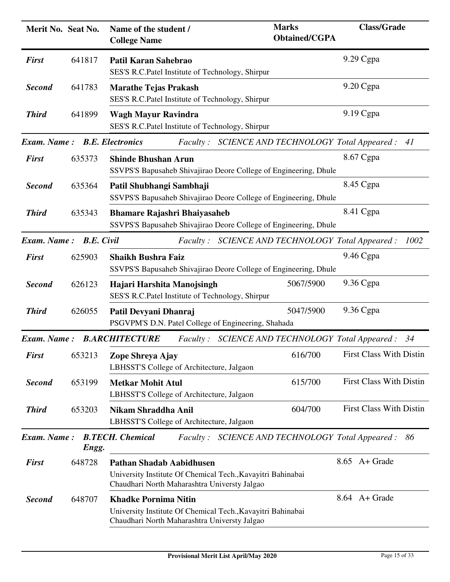| Merit No. Seat No.           |        | Name of the student /<br><b>College Name</b>                                                                                                   | <b>Marks</b><br><b>Obtained/CGPA</b>    | <b>Class/Grade</b>             |
|------------------------------|--------|------------------------------------------------------------------------------------------------------------------------------------------------|-----------------------------------------|--------------------------------|
| <b>First</b>                 | 641817 | Patil Karan Sahebrao<br>SES'S R.C.Patel Institute of Technology, Shirpur                                                                       |                                         | 9.29 Cgpa                      |
| <b>Second</b>                | 641783 | <b>Marathe Tejas Prakash</b><br>SES'S R.C.Patel Institute of Technology, Shirpur                                                               |                                         | 9.20 Cgpa                      |
| <b>Third</b>                 | 641899 | <b>Wagh Mayur Ravindra</b><br>SES'S R.C.Patel Institute of Technology, Shirpur                                                                 |                                         | 9.19 Cgpa                      |
| Exam. Name: B.E. Electronics |        | Faculty: SCIENCE AND TECHNOLOGY Total Appeared:                                                                                                |                                         | 41                             |
| <b>First</b>                 | 635373 | <b>Shinde Bhushan Arun</b><br>SSVPS'S Bapusaheb Shivajirao Deore College of Engineering, Dhule                                                 |                                         | 8.67 Cgpa                      |
| <b>Second</b>                | 635364 | Patil Shubhangi Sambhaji<br>SSVPS'S Bapusaheb Shivajirao Deore College of Engineering, Dhule                                                   |                                         | 8.45 Cgpa                      |
| <b>Third</b>                 | 635343 | <b>Bhamare Rajashri Bhaiyasaheb</b><br>SSVPS'S Bapusaheb Shivajirao Deore College of Engineering, Dhule                                        |                                         | 8.41 Cgpa                      |
| Exam. Name: B.E. Civil       |        | Faculty: SCIENCE AND TECHNOLOGY Total Appeared:                                                                                                |                                         | 1002                           |
| <b>First</b>                 | 625903 | <b>Shaikh Bushra Faiz</b><br>SSVPS'S Bapusaheb Shivajirao Deore College of Engineering, Dhule                                                  |                                         | 9.46 Cgpa                      |
| <b>Second</b>                | 626123 | Hajari Harshita Manojsingh<br>SES'S R.C.Patel Institute of Technology, Shirpur                                                                 | 5067/5900                               | 9.36 Cgpa                      |
| <b>Third</b>                 | 626055 | Patil Devyani Dhanraj<br>PSGVPM'S D.N. Patel College of Engineering, Shahada                                                                   | 5047/5900                               | 9.36 Cgpa                      |
| Exam. Name:                  |        | <b>B.ARCHITECTURE</b><br><i>Faculty</i> :                                                                                                      | SCIENCE AND TECHNOLOGY Total Appeared : | 34                             |
| <b>First</b>                 | 653213 | Zope Shreya Ajay<br>LBHSST'S College of Architecture, Jalgaon                                                                                  | 616/700                                 | <b>First Class With Distin</b> |
| <b>Second</b>                | 653199 | <b>Metkar Mohit Atul</b><br>LBHSST'S College of Architecture, Jalgaon                                                                          | 615/700                                 | <b>First Class With Distin</b> |
| <b>Third</b>                 | 653203 | <b>Nikam Shraddha Anil</b><br>LBHSST'S College of Architecture, Jalgaon                                                                        | 604/700                                 | <b>First Class With Distin</b> |
| Exam. Name:                  | Engg.  | <b>B.TECH.</b> Chemical<br>Faculty: SCIENCE AND TECHNOLOGY Total Appeared:                                                                     |                                         | 86                             |
| <b>First</b>                 | 648728 | <b>Pathan Shadab Aabidhusen</b><br>University Institute Of Chemical Tech., Kavayitri Bahinabai<br>Chaudhari North Maharashtra Universty Jalgao |                                         | 8.65 A+ Grade                  |
| <b>Second</b>                | 648707 | <b>Khadke Pornima Nitin</b><br>University Institute Of Chemical Tech., Kavayitri Bahinabai<br>Chaudhari North Maharashtra Universty Jalgao     |                                         | 8.64 A+ Grade                  |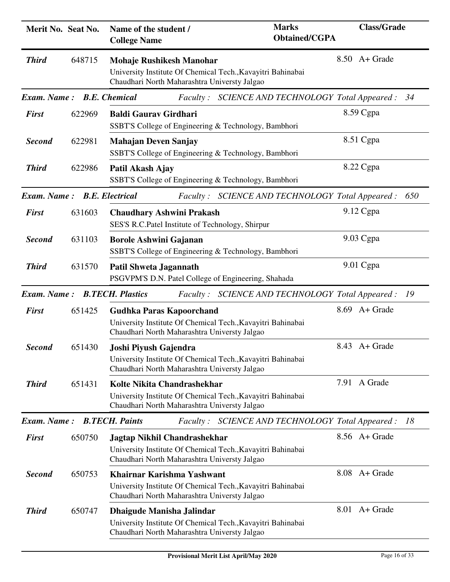| Merit No. Seat No.          |        | Name of the student /<br><b>College Name</b>                                                                                                   | <b>Marks</b><br><b>Obtained/CGPA</b>            | <b>Class/Grade</b> |     |
|-----------------------------|--------|------------------------------------------------------------------------------------------------------------------------------------------------|-------------------------------------------------|--------------------|-----|
| <b>Third</b>                | 648715 | <b>Mohaje Rushikesh Manohar</b><br>University Institute Of Chemical Tech., Kavayitri Bahinabai<br>Chaudhari North Maharashtra Universty Jalgao |                                                 | $8.50$ A + Grade   |     |
| Exam. Name: B.E. Chemical   |        | <i>Faculty:</i>                                                                                                                                | SCIENCE AND TECHNOLOGY Total Appeared :         |                    | 34  |
| <b>First</b>                | 622969 | <b>Baldi Gaurav Girdhari</b><br>SSBT'S College of Engineering & Technology, Bambhori                                                           |                                                 | 8.59 Cgpa          |     |
| <b>Second</b>               | 622981 | <b>Mahajan Deven Sanjay</b><br>SSBT'S College of Engineering & Technology, Bambhori                                                            |                                                 | 8.51 Cgpa          |     |
| <b>Third</b>                | 622986 | Patil Akash Ajay<br>SSBT'S College of Engineering & Technology, Bambhori                                                                       |                                                 | 8.22 Cgpa          |     |
| Exam. Name: B.E. Electrical |        |                                                                                                                                                | Faculty: SCIENCE AND TECHNOLOGY Total Appeared: |                    | 650 |
| <b>First</b>                | 631603 | <b>Chaudhary Ashwini Prakash</b><br>SES'S R.C.Patel Institute of Technology, Shirpur                                                           |                                                 | 9.12 Cgpa          |     |
| <b>Second</b>               | 631103 | <b>Borole Ashwini Gajanan</b><br>SSBT'S College of Engineering & Technology, Bambhori                                                          |                                                 | 9.03 Cgpa          |     |
| <b>Third</b>                | 631570 | <b>Patil Shweta Jagannath</b><br>PSGVPM'S D.N. Patel College of Engineering, Shahada                                                           |                                                 | 9.01 Cgpa          |     |
| Exam. Name:                 |        | <b>B.TECH. Plastics</b><br><i>Faculty:</i>                                                                                                     | SCIENCE AND TECHNOLOGY Total Appeared :         |                    | -19 |
| <b>First</b>                | 651425 | <b>Gudhka Paras Kapoorchand</b><br>University Institute Of Chemical Tech., Kavayitri Bahinabai<br>Chaudhari North Maharashtra Universty Jalgao |                                                 | 8.69 A+ Grade      |     |
| <b>Second</b>               | 651430 | Joshi Piyush Gajendra<br>University Institute Of Chemical Tech., Kavayitri Bahinabai<br>Chaudhari North Maharashtra Universty Jalgao           |                                                 | 8.43 A + Grade     |     |
| <b>Third</b>                | 651431 | Kolte Nikita Chandrashekhar<br>University Institute Of Chemical Tech., Kavayitri Bahinabai<br>Chaudhari North Maharashtra Universty Jalgao     |                                                 | 7.91 A Grade       |     |
| Exam. Name:                 |        | <b>B.TECH. Paints</b>                                                                                                                          | Faculty: SCIENCE AND TECHNOLOGY Total Appeared: |                    | -18 |
| <b>First</b>                | 650750 | Jagtap Nikhil Chandrashekhar<br>University Institute Of Chemical Tech., Kavayitri Bahinabai<br>Chaudhari North Maharashtra Universty Jalgao    |                                                 | 8.56 A + Grade     |     |
| <b>Second</b>               | 650753 | Khairnar Karishma Yashwant<br>University Institute Of Chemical Tech., Kavayitri Bahinabai<br>Chaudhari North Maharashtra Universty Jalgao      |                                                 | 8.08 A+ Grade      |     |
| <b>Third</b>                | 650747 | Dhaigude Manisha Jalindar<br>University Institute Of Chemical Tech., Kavayitri Bahinabai<br>Chaudhari North Maharashtra Universty Jalgao       |                                                 | 8.01 A+ Grade      |     |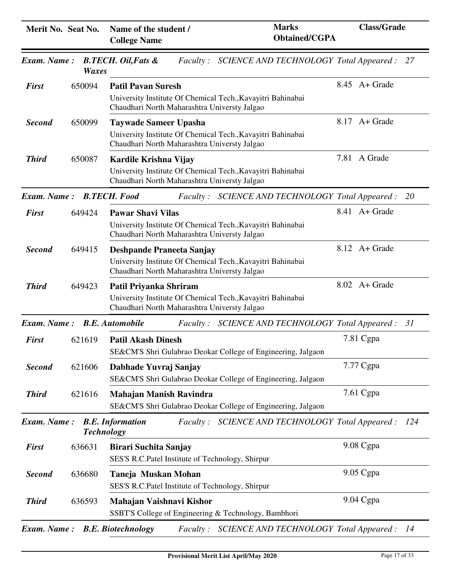| Merit No. Seat No.          |                   | Name of the student /<br><b>College Name</b>                                                                                                | <b>Marks</b><br><b>Obtained/CGPA</b>                         | <b>Class/Grade</b> |     |
|-----------------------------|-------------------|---------------------------------------------------------------------------------------------------------------------------------------------|--------------------------------------------------------------|--------------------|-----|
| Exam. Name:                 | <b>Waxes</b>      | <b>B.TECH.</b> Oil, Fats &                                                                                                                  | Faculty: SCIENCE AND TECHNOLOGY Total Appeared: 27           |                    |     |
| <b>First</b>                | 650094            | <b>Patil Pavan Suresh</b><br>University Institute Of Chemical Tech., Kavayitri Bahinabai<br>Chaudhari North Maharashtra Universty Jalgao    |                                                              | $8.45$ A + Grade   |     |
| <b>Second</b>               | 650099            | <b>Taywade Sameer Upasha</b><br>University Institute Of Chemical Tech., Kavayitri Bahinabai<br>Chaudhari North Maharashtra Universty Jalgao |                                                              | $8.17$ A + Grade   |     |
| <b>Third</b>                | 650087            | Kardile Krishna Vijay<br>University Institute Of Chemical Tech., Kavayitri Bahinabai<br>Chaudhari North Maharashtra Universty Jalgao        |                                                              | 7.81 A Grade       |     |
| Exam. Name: B.TECH. Food    |                   |                                                                                                                                             | Faculty: SCIENCE AND TECHNOLOGY Total Appeared:              |                    | 20  |
| <b>First</b>                | 649424            | <b>Pawar Shavi Vilas</b><br>University Institute Of Chemical Tech., Kavayitri Bahinabai<br>Chaudhari North Maharashtra Universty Jalgao     |                                                              | 8.41 A + Grade     |     |
| <b>Second</b>               | 649415            | Deshpande Praneeta Sanjay<br>University Institute Of Chemical Tech., Kavayitri Bahinabai<br>Chaudhari North Maharashtra Universty Jalgao    |                                                              | $8.12$ A + Grade   |     |
| <b>Third</b>                | 649423            | Patil Priyanka Shriram<br>University Institute Of Chemical Tech., Kavayitri Bahinabai<br>Chaudhari North Maharashtra Universty Jalgao       |                                                              | $8.02$ A + Grade   |     |
| Exam. Name: B.E. Automobile |                   | <i>Faculty</i> :                                                                                                                            | SCIENCE AND TECHNOLOGY Total Appeared : 31                   |                    |     |
| <b>First</b>                | 621619            | <b>Patil Akash Dinesh</b>                                                                                                                   | SE&CM'S Shri Gulabrao Deokar College of Engineering, Jalgaon | 7.81 Cgpa          |     |
| <b>Second</b>               | 621606            | Dabhade Yuvraj Sanjay                                                                                                                       | SE&CM'S Shri Gulabrao Deokar College of Engineering, Jalgaon | 7.77 Cgpa          |     |
| <b>Third</b>                | 621616            | <b>Mahajan Manish Ravindra</b>                                                                                                              | SE&CM'S Shri Gulabrao Deokar College of Engineering, Jalgaon | $7.61$ Cgpa        |     |
| <b>Exam.</b> Name:          | <b>Technology</b> | <b>B.E.</b> Information                                                                                                                     | Faculty: SCIENCE AND TECHNOLOGY Total Appeared:              |                    | 124 |
| <b>First</b>                | 636631            | <b>Birari Suchita Sanjay</b><br>SES'S R.C.Patel Institute of Technology, Shirpur                                                            |                                                              | 9.08 Cgpa          |     |
| <b>Second</b>               | 636680            | Taneja Muskan Mohan<br>SES'S R.C.Patel Institute of Technology, Shirpur                                                                     |                                                              | 9.05 Cgpa          |     |
| <b>Third</b>                | 636593            | Mahajan Vaishnavi Kishor<br>SSBT'S College of Engineering & Technology, Bambhori                                                            |                                                              | 9.04 Cgpa          |     |
| Exam. Name:                 |                   | <b>B.E. Biotechnology</b><br><i>Faculty</i> :                                                                                               | <b>SCIENCE AND TECHNOLOGY Total Appeared :</b>               |                    | -14 |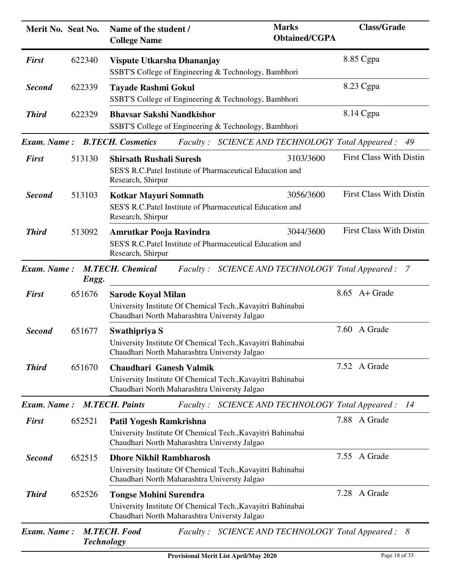| Merit No. Seat No. |        | Name of the student /<br><b>College Name</b>                                                                                                  | <b>Marks</b><br><b>Obtained/CGPA</b>    | <b>Class/Grade</b>                         |
|--------------------|--------|-----------------------------------------------------------------------------------------------------------------------------------------------|-----------------------------------------|--------------------------------------------|
| <b>First</b>       | 622340 | Vispute Utkarsha Dhananjay<br>SSBT'S College of Engineering & Technology, Bambhori                                                            |                                         | 8.85 Cgpa                                  |
| <b>Second</b>      | 622339 | <b>Tayade Rashmi Gokul</b><br>SSBT'S College of Engineering & Technology, Bambhori                                                            |                                         | 8.23 Cgpa                                  |
| <b>Third</b>       | 622329 | <b>Bhavsar Sakshi Nandkishor</b><br>SSBT'S College of Engineering & Technology, Bambhori                                                      |                                         | 8.14 Cgpa                                  |
| Exam. Name:        |        | <b>B.TECH.</b> Cosmetics<br>Faculty: SCIENCE AND TECHNOLOGY Total Appeared :                                                                  |                                         | 49                                         |
| <b>First</b>       | 513130 | <b>Shirsath Rushali Suresh</b><br>SES'S R.C.Patel Institute of Pharmaceutical Education and<br>Research, Shirpur                              | 3103/3600                               | <b>First Class With Distin</b>             |
| <b>Second</b>      | 513103 | <b>Kotkar Mayuri Somnath</b><br>SES'S R.C.Patel Institute of Pharmaceutical Education and<br>Research, Shirpur                                | 3056/3600                               | <b>First Class With Distin</b>             |
| <b>Third</b>       | 513092 | Amrutkar Pooja Ravindra<br>SES'S R.C.Patel Institute of Pharmaceutical Education and<br>Research, Shirpur                                     | 3044/3600                               | <b>First Class With Distin</b>             |
| Exam. Name:        | Engg.  | <b>M.TECH.</b> Chemical<br><i>Faculty:</i>                                                                                                    | SCIENCE AND TECHNOLOGY Total Appeared : | - 7                                        |
| <b>First</b>       | 651676 | <b>Sarode Koyal Milan</b><br>University Institute Of Chemical Tech., Kavayitri Bahinabai<br>Chaudhari North Maharashtra Universty Jalgao      |                                         | 8.65 A+ Grade                              |
| <b>Second</b>      | 651677 | Swathipriya S<br>University Institute Of Chemical Tech., Kavayitri Bahinabai<br>Chaudhari North Maharashtra Universty Jalgao                  |                                         | 7.60<br>A Grade                            |
| <b>Third</b>       | 651670 | Chaudhari Ganesh Valmik<br>University Institute Of Chemical Tech., Kavayitri Bahinabai<br>Chaudhari North Maharashtra Universty Jalgao        |                                         | 7.52 A Grade                               |
| Exam. Name:        |        | <b>M.TECH. Paints</b><br><i>Faculty:</i>                                                                                                      |                                         | SCIENCE AND TECHNOLOGY Total Appeared : 14 |
| <b>First</b>       | 652521 | Patil Yogesh Ramkrishna<br>University Institute Of Chemical Tech., Kavayitri Bahinabai<br>Chaudhari North Maharashtra Universty Jalgao        |                                         | 7.88 A Grade                               |
| <b>Second</b>      | 652515 | <b>Dhore Nikhil Rambharosh</b><br>University Institute Of Chemical Tech., Kavayitri Bahinabai<br>Chaudhari North Maharashtra Universty Jalgao |                                         | 7.55 A Grade                               |
| <b>Third</b>       | 652526 | <b>Tongse Mohini Surendra</b><br>University Institute Of Chemical Tech., Kavayitri Bahinabai<br>Chaudhari North Maharashtra Universty Jalgao  |                                         | 7.28 A Grade                               |
| Exam. Name:        |        | <b>M.TECH. Food</b><br>Faculty: SCIENCE AND TECHNOLOGY Total Appeared: 8<br><b>Technology</b>                                                 |                                         |                                            |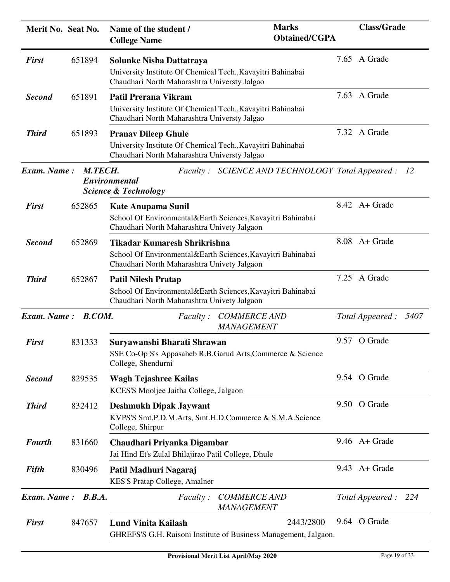| Merit No. Seat No. |               | Name of the student /<br><b>College Name</b>                                                                                               | <b>Marks</b><br><b>Obtained/CGPA</b> | <b>Class/Grade</b>    |
|--------------------|---------------|--------------------------------------------------------------------------------------------------------------------------------------------|--------------------------------------|-----------------------|
| <b>First</b>       | 651894        | Solunke Nisha Dattatraya<br>University Institute Of Chemical Tech., Kavayitri Bahinabai<br>Chaudhari North Maharashtra Universty Jalgao    |                                      | 7.65 A Grade          |
| <b>Second</b>      | 651891        | <b>Patil Prerana Vikram</b><br>University Institute Of Chemical Tech., Kavayitri Bahinabai<br>Chaudhari North Maharashtra Universty Jalgao |                                      | 7.63 A Grade          |
| <b>Third</b>       | 651893        | <b>Pranav Dileep Ghule</b><br>University Institute Of Chemical Tech., Kavayitri Bahinabai<br>Chaudhari North Maharashtra Universty Jalgao  |                                      | 7.32 A Grade          |
| Exam. Name:        | M.TECH.       | Faculty: SCIENCE AND TECHNOLOGY Total Appeared :<br>Environmental<br><b>Science &amp; Technology</b>                                       |                                      | - 12                  |
| <b>First</b>       | 652865        | <b>Kate Anupama Sunil</b><br>School Of Environmental&Earth Sciences, Kavayitri Bahinabai<br>Chaudhari North Maharashtra Univety Jalgaon    |                                      | $8.42$ A + Grade      |
| <b>Second</b>      | 652869        | Tikadar Kumaresh Shrikrishna<br>School Of Environmental&Earth Sciences, Kavayitri Bahinabai<br>Chaudhari North Maharashtra Univety Jalgaon |                                      | 8.08 A+ Grade         |
| <b>Third</b>       | 652867        | <b>Patil Nilesh Pratap</b><br>School Of Environmental&Earth Sciences, Kavayitri Bahinabai<br>Chaudhari North Maharashtra Univety Jalgaon   |                                      | 7.25 A Grade          |
| Exam. Name:        | <b>B.COM.</b> | <b>COMMERCE AND</b><br><i>Faculty</i> :<br>MANAGEMENT                                                                                      |                                      | Total Appeared : 5407 |
| <b>First</b>       | 831333        | Suryawanshi Bharati Shrawan<br>SSE Co-Op S's Appasaheb R.B.Garud Arts, Commerce & Science<br>College, Shendurni                            |                                      | 9.57 O Grade          |
| <b>Second</b>      | 829535        | <b>Wagh Tejashree Kailas</b><br>KCES'S Mooljee Jaitha College, Jalgaon                                                                     |                                      | 9.54 O Grade          |
| <b>Third</b>       | 832412        | <b>Deshmukh Dipak Jaywant</b><br>KVPS'S Smt.P.D.M.Arts, Smt.H.D.Commerce & S.M.A.Science<br>College, Shirpur                               |                                      | 9.50 O Grade          |
| <b>Fourth</b>      | 831660        | Chaudhari Priyanka Digambar<br>Jai Hind Et's Zulal Bhilajirao Patil College, Dhule                                                         |                                      | $9.46$ A + Grade      |
| <b>Fifth</b>       | 830496        | Patil Madhuri Nagaraj<br>KES'S Pratap College, Amalner                                                                                     |                                      | $9.43$ A + Grade      |
| <b>Exam.</b> Name: | B.B.A.        | <i>Faculty</i> :<br><b>COMMERCE AND</b><br>MANAGEMENT                                                                                      |                                      | Total Appeared: 224   |
| <b>First</b>       | 847657        | <b>Lund Vinita Kailash</b><br>GHREFS'S G.H. Raisoni Institute of Business Management, Jalgaon.                                             | 2443/2800                            | 9.64 O Grade          |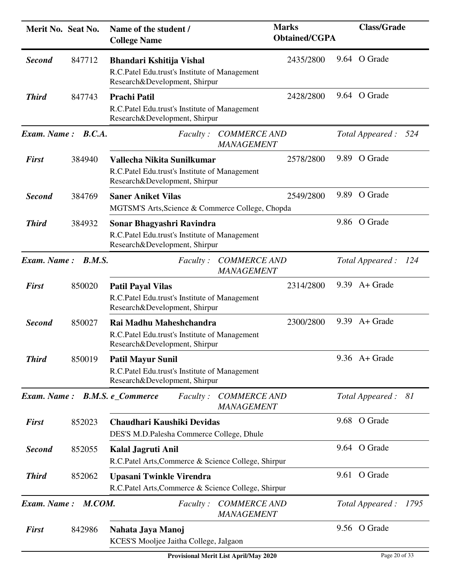| Merit No. Seat No. |        | Name of the student /<br><b>College Name</b>                                                                 | <b>Marks</b><br><b>Obtained/CGPA</b> | <b>Class/Grade</b>      |
|--------------------|--------|--------------------------------------------------------------------------------------------------------------|--------------------------------------|-------------------------|
| <b>Second</b>      | 847712 | Bhandari Kshitija Vishal<br>R.C.Patel Edu.trust's Institute of Management<br>Research&Development, Shirpur   | 2435/2800                            | 9.64 O Grade            |
| <b>Third</b>       | 847743 | <b>Prachi Patil</b><br>R.C.Patel Edu.trust's Institute of Management<br>Research&Development, Shirpur        | 2428/2800                            | 9.64 O Grade            |
| Exam. Name: B.C.A. |        | <b>COMMERCE AND</b><br><i>Faculty</i> :<br>MANAGEMENT                                                        |                                      | Total Appeared:<br>524  |
| <b>First</b>       | 384940 | Vallecha Nikita Sunilkumar<br>R.C.Patel Edu.trust's Institute of Management<br>Research&Development, Shirpur | 2578/2800                            | 9.89 O Grade            |
| <b>Second</b>      | 384769 | <b>Saner Aniket Vilas</b><br>MGTSM'S Arts, Science & Commerce College, Chopda                                | 2549/2800                            | 9.89 O Grade            |
| <b>Third</b>       | 384932 | Sonar Bhagyashri Ravindra<br>R.C.Patel Edu.trust's Institute of Management<br>Research&Development, Shirpur  |                                      | 9.86 O Grade            |
| Exam. Name:        | B.M.S. | <b>COMMERCE AND</b><br><i>Faculty :</i><br>MANAGEMENT                                                        |                                      | Total Appeared : 124    |
| <b>First</b>       | 850020 | <b>Patil Payal Vilas</b><br>R.C.Patel Edu.trust's Institute of Management<br>Research&Development, Shirpur   | 2314/2800                            | $9.39$ A + Grade        |
| <b>Second</b>      | 850027 | Rai Madhu Maheshchandra<br>R.C.Patel Edu.trust's Institute of Management<br>Research&Development, Shirpur    | 9.39<br>2300/2800                    | A+ Grade                |
| <b>Third</b>       | 850019 | <b>Patil Mayur Sunil</b><br>R.C.Patel Edu.trust's Institute of Management<br>Research&Development, Shirpur   |                                      | $9.36$ A + Grade        |
| Exam. Name:        |        | <b>B.M.S. e_Commerce</b><br><i>Faculty</i> :<br><b>COMMERCE AND</b><br><b>MANAGEMENT</b>                     |                                      | Total Appeared: 81      |
| <b>First</b>       | 852023 | Chaudhari Kaushiki Devidas<br>DES'S M.D.Palesha Commerce College, Dhule                                      |                                      | 9.68 O Grade            |
| <b>Second</b>      | 852055 | Kalal Jagruti Anil<br>R.C.Patel Arts, Commerce & Science College, Shirpur                                    |                                      | 9.64 O Grade            |
| <b>Third</b>       | 852062 | <b>Upasani Twinkle Virendra</b><br>R.C.Patel Arts, Commerce & Science College, Shirpur                       |                                      | 9.61 O Grade            |
| Exam. Name:        | M.COM. | <b>COMMERCE AND</b><br><i>Faculty</i> :<br>MANAGEMENT                                                        |                                      | Total Appeared:<br>1795 |
| <b>First</b>       | 842986 | Nahata Jaya Manoj<br>KCES'S Mooljee Jaitha College, Jalgaon                                                  |                                      | 9.56 O Grade            |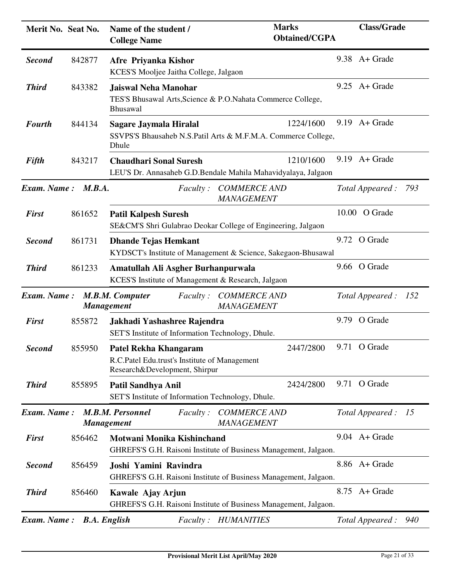| Merit No. Seat No. |                     | Name of the student /<br><b>College Name</b>                                                                   | <b>Marks</b><br><b>Obtained/CGPA</b> | <b>Class/Grade</b>      |
|--------------------|---------------------|----------------------------------------------------------------------------------------------------------------|--------------------------------------|-------------------------|
| <b>Second</b>      | 842877              | Afre Priyanka Kishor<br>KCES'S Mooljee Jaitha College, Jalgaon                                                 |                                      | $9.38$ A + Grade        |
| <b>Third</b>       | 843382              | <b>Jaiswal Neha Manohar</b><br>TES'S Bhusawal Arts, Science & P.O. Nahata Commerce College,<br><b>Bhusawal</b> |                                      | $9.25$ A + Grade        |
| <b>Fourth</b>      | 844134              | <b>Sagare Jaymala Hiralal</b><br>SSVPS'S Bhausaheb N.S.Patil Arts & M.F.M.A. Commerce College,<br>Dhule        | 1224/1600                            | $9.19$ A + Grade        |
| Fifth              | 843217              | <b>Chaudhari Sonal Suresh</b><br>LEU'S Dr. Annasaheb G.D.Bendale Mahila Mahavidyalaya, Jalgaon                 | 1210/1600                            | $9.19$ A + Grade        |
| Exam. Name:        | M.B.A.              | <i>Faculty :</i>                                                                                               | <b>COMMERCE AND</b><br>MANAGEMENT    | Total Appeared :<br>793 |
| <b>First</b>       | 861652              | <b>Patil Kalpesh Suresh</b><br>SE&CM'S Shri Gulabrao Deokar College of Engineering, Jalgaon                    |                                      | 10.00 O Grade           |
| <b>Second</b>      | 861731              | <b>Dhande Tejas Hemkant</b><br>KYDSCT's Institute of Management & Science, Sakegaon-Bhusawal                   |                                      | 9.72 O Grade            |
| <b>Third</b>       | 861233              | Amatullah Ali Asgher Burhanpurwala<br>KCES'S Institute of Management & Research, Jalgaon                       |                                      | 9.66 O Grade            |
| <b>Exam.</b> Name: | <b>Management</b>   | M.B.M. Computer<br><i>Faculty</i> :                                                                            | <b>COMMERCE AND</b><br>MANAGEMENT    | Total Appeared : 152    |
| <b>First</b>       | 855872              | Jakhadi Yashashree Rajendra<br>SET'S Institute of Information Technology, Dhule.                               |                                      | 9.79 O Grade            |
| <b>Second</b>      | 855950              | Patel Rekha Khangaram<br>R.C.Patel Edu.trust's Institute of Management<br>Research&Development, Shirpur        | 2447/2800                            | 9.71 O Grade            |
| <b>Third</b>       | 855895              | Patil Sandhya Anil<br>SET'S Institute of Information Technology, Dhule.                                        | 2424/2800                            | 9.71 O Grade            |
| Exam. Name:        | <b>Management</b>   | M.B.M. Personnel<br><i>Faculty</i> :                                                                           | <b>COMMERCE AND</b><br>MANAGEMENT    | Total Appeared : 15     |
| <b>First</b>       | 856462              | Motwani Monika Kishinchand<br>GHREFS'S G.H. Raisoni Institute of Business Management, Jalgaon.                 |                                      | $9.04$ A + Grade        |
| <b>Second</b>      | 856459              | Joshi Yamini Ravindra<br>GHREFS'S G.H. Raisoni Institute of Business Management, Jalgaon.                      |                                      | 8.86 A+ Grade           |
| <b>Third</b>       | 856460              | Kawale Ajay Arjun<br>GHREFS'S G.H. Raisoni Institute of Business Management, Jalgaon.                          |                                      | 8.75 A + Grade          |
| Exam. Name:        | <b>B.A. English</b> | <b>HUMANITIES</b><br><i>Faculty</i> :                                                                          |                                      | Total Appeared:<br>940  |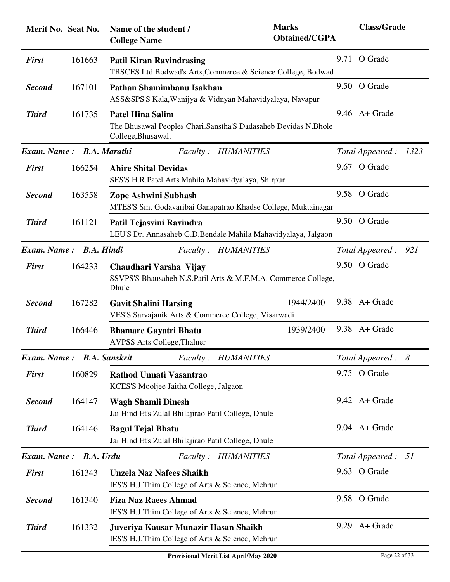| Merit No. Seat No.        |        | Name of the student /<br><b>College Name</b>                                             | <b>Marks</b><br><b>Obtained/CGPA</b>                           |      | <b>Class/Grade</b>  |      |
|---------------------------|--------|------------------------------------------------------------------------------------------|----------------------------------------------------------------|------|---------------------|------|
| <b>First</b>              | 161663 | <b>Patil Kiran Ravindrasing</b>                                                          | TBSCES Ltd.Bodwad's Arts,Commerce & Science College, Bodwad    |      | 9.71 O Grade        |      |
| <b>Second</b>             | 167101 | Pathan Shamimbanu Isakhan                                                                | ASS&SPS'S Kala, Wanijya & Vidnyan Mahavidyalaya, Navapur       |      | 9.50 O Grade        |      |
| <b>Third</b>              | 161735 | <b>Patel Hina Salim</b><br>College, Bhusawal.                                            | The Bhusawal Peoples Chari.Sanstha'S Dadasaheb Devidas N.Bhole |      | $9.46$ A + Grade    |      |
| Exam. Name: B.A. Marathi  |        |                                                                                          | Faculty: HUMANITIES                                            |      | Total Appeared :    | 1323 |
| <b>First</b>              | 166254 | <b>Ahire Shital Devidas</b><br>SES'S H.R.Patel Arts Mahila Mahavidyalaya, Shirpur        |                                                                |      | 9.67 O Grade        |      |
| <b>Second</b>             | 163558 | Zope Ashwini Subhash                                                                     | MTES'S Smt Godavaribai Ganapatrao Khadse College, Muktainagar  |      | 9.58 O Grade        |      |
| <b>Third</b>              | 161121 | Patil Tejasvini Ravindra                                                                 | LEU'S Dr. Annasaheb G.D.Bendale Mahila Mahavidyalaya, Jalgaon  |      | 9.50 O Grade        |      |
| Exam. Name: B.A. Hindi    |        |                                                                                          | Faculty: HUMANITIES                                            |      | Total Appeared: 921 |      |
| <b>First</b>              | 164233 | Chaudhari Varsha Vijay<br>Dhule                                                          | SSVPS'S Bhausaheb N.S.Patil Arts & M.F.M.A. Commerce College,  |      | 9.50 O Grade        |      |
| <b>Second</b>             | 167282 | <b>Gavit Shalini Harsing</b><br>VES'S Sarvajanik Arts & Commerce College, Visarwadi      | 1944/2400                                                      |      | $9.38$ A + Grade    |      |
| <b>Third</b>              | 166446 | <b>Bhamare Gayatri Bhatu</b><br><b>AVPSS Arts College, Thalner</b>                       | 1939/2400                                                      |      | $9.38$ A + Grade    |      |
| Exam. Name: B.A. Sanskrit |        |                                                                                          | Faculty: HUMANITIES                                            |      | Total Appeared : 8  |      |
| <b>First</b>              | 160829 | <b>Rathod Unnati Vasantrao</b><br>KCES'S Mooljee Jaitha College, Jalgaon                 |                                                                |      | 9.75 O Grade        |      |
| <b>Second</b>             | 164147 | <b>Wagh Shamli Dinesh</b><br>Jai Hind Et's Zulal Bhilajirao Patil College, Dhule         |                                                                |      | 9.42 A+ Grade       |      |
| <b>Third</b>              | 164146 | <b>Bagul Tejal Bhatu</b><br>Jai Hind Et's Zulal Bhilajirao Patil College, Dhule          |                                                                |      | $9.04$ A+ Grade     |      |
| <b>Exam.</b> Name:        |        | <b>B.A.</b> Urdu                                                                         | Faculty: HUMANITIES                                            |      | Total Appeared : 51 |      |
| <b>First</b>              | 161343 | <b>Unzela Naz Nafees Shaikh</b><br>IES'S H.J.Thim College of Arts & Science, Mehrun      |                                                                |      | 9.63 O Grade        |      |
| <b>Second</b>             | 161340 | <b>Fiza Naz Raees Ahmad</b><br>IES'S H.J.Thim College of Arts & Science, Mehrun          |                                                                |      | 9.58 O Grade        |      |
| <b>Third</b>              | 161332 | Juveriya Kausar Munazir Hasan Shaikh<br>IES'S H.J.Thim College of Arts & Science, Mehrun |                                                                | 9.29 | A+ Grade            |      |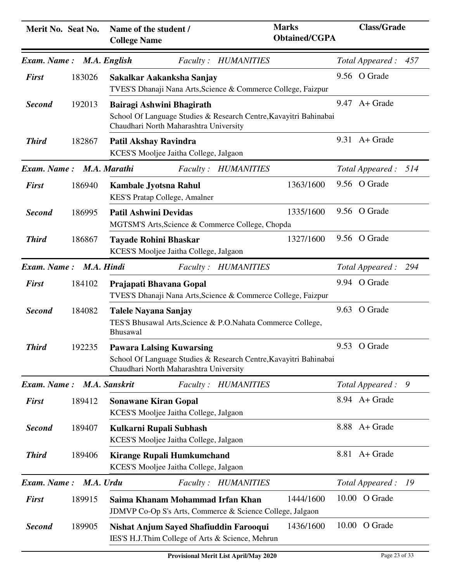| Merit No. Seat No.        |        | Name of the student /<br><b>College Name</b>                                               | <b>Marks</b><br><b>Obtained/CGPA</b>                                   | <b>Class/Grade</b>      |
|---------------------------|--------|--------------------------------------------------------------------------------------------|------------------------------------------------------------------------|-------------------------|
| <b>Exam.</b> Name:        |        | M.A. English                                                                               | Faculty: HUMANITIES                                                    | 457<br>Total Appeared:  |
| <b>First</b>              | 183026 | Sakalkar Aakanksha Sanjay                                                                  | TVES'S Dhanaji Nana Arts, Science & Commerce College, Faizpur          | 9.56 O Grade            |
| <b>Second</b>             | 192013 | Bairagi Ashwini Bhagirath<br>Chaudhari North Maharashtra University                        | School Of Language Studies & Research Centre, Kavayitri Bahinabai      | 9.47<br>A+ Grade        |
| <b>Third</b>              | 182867 | Patil Akshay Ravindra<br>KCES'S Mooljee Jaitha College, Jalgaon                            |                                                                        | $9.31$ A + Grade        |
| Exam. Name: M.A. Marathi  |        |                                                                                            | Faculty: HUMANITIES                                                    | 514<br>Total Appeared : |
| <b>First</b>              | 186940 | <b>Kambale Jyotsna Rahul</b><br>KES'S Pratap College, Amalner                              | 1363/1600                                                              | 9.56 O Grade            |
| <b>Second</b>             | 186995 | <b>Patil Ashwini Devidas</b><br>MGTSM'S Arts, Science & Commerce College, Chopda           | 1335/1600                                                              | 9.56 O Grade            |
| <b>Third</b>              | 186867 | <b>Tayade Rohini Bhaskar</b><br>KCES'S Mooljee Jaitha College, Jalgaon                     | 1327/1600                                                              | 9.56 O Grade            |
| Exam. Name:               |        | M.A. Hindi                                                                                 | Faculty: HUMANITIES                                                    | 294<br>Total Appeared : |
| <b>First</b>              | 184102 | Prajapati Bhavana Gopal                                                                    | TVES'S Dhanaji Nana Arts, Science & Commerce College, Faizpur          | 9.94 O Grade            |
| <b>Second</b>             | 184082 | <b>Talele Nayana Sanjay</b><br><b>Bhusawal</b>                                             | TES'S Bhusawal Arts, Science & P.O. Nahata Commerce College,           | 9.63 O Grade            |
| <b>Third</b>              | 192235 | <b>Pawara Lalsing Kuwarsing</b><br>Chaudhari North Maharashtra University                  | School Of Language Studies & Research Centre, Kavayitri Bahinabai      | 9.53 O Grade            |
| Exam. Name: M.A. Sanskrit |        |                                                                                            | Faculty: HUMANITIES                                                    | Total Appeared:<br>9    |
| <b>First</b>              | 189412 | <b>Sonawane Kiran Gopal</b><br>KCES'S Mooljee Jaitha College, Jalgaon                      |                                                                        | 8.94 A+ Grade           |
| <b>Second</b>             | 189407 | Kulkarni Rupali Subhash<br>KCES'S Mooljee Jaitha College, Jalgaon                          |                                                                        | 8.88 A+ Grade           |
| <b>Third</b>              | 189406 | <b>Kirange Rupali Humkumchand</b><br>KCES'S Mooljee Jaitha College, Jalgaon                |                                                                        | 8.81 A + Grade          |
| Exam. Name:               |        | M.A. Urdu                                                                                  | Faculty: HUMANITIES                                                    | Total Appeared:<br>- 19 |
| <b>First</b>              | 189915 | Saima Khanam Mohammad Irfan Khan                                                           | 1444/1600<br>JDMVP Co-Op S's Arts, Commerce & Science College, Jalgaon | 10.00 O Grade           |
| <b>Second</b>             | 189905 | Nishat Anjum Sayed Shafiuddin Farooqui<br>IES'S H.J.Thim College of Arts & Science, Mehrun | 1436/1600                                                              | 10.00 O Grade           |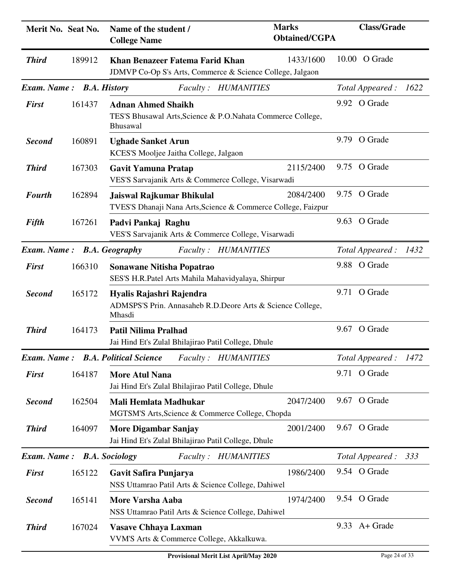| Merit No. Seat No.         |        | Name of the student /<br><b>College Name</b>                                                          | <b>Marks</b><br><b>Obtained/CGPA</b> | <b>Class/Grade</b> |      |
|----------------------------|--------|-------------------------------------------------------------------------------------------------------|--------------------------------------|--------------------|------|
| <b>Third</b>               | 189912 | Khan Benazeer Fatema Farid Khan<br>JDMVP Co-Op S's Arts, Commerce & Science College, Jalgaon          | 1433/1600                            | 10.00 O Grade      |      |
| Exam. Name:                |        | <b>B.A. History</b><br>Faculty: HUMANITIES                                                            |                                      | Total Appeared:    | 1622 |
| <b>First</b>               | 161437 | <b>Adnan Ahmed Shaikh</b><br>TES'S Bhusawal Arts, Science & P.O. Nahata Commerce College,<br>Bhusawal |                                      | 9.92 O Grade       |      |
| <b>Second</b>              | 160891 | <b>Ughade Sanket Arun</b><br>KCES'S Mooljee Jaitha College, Jalgaon                                   |                                      | 9.79 O Grade       |      |
| <b>Third</b>               | 167303 | <b>Gavit Yamuna Pratap</b><br>VES'S Sarvajanik Arts & Commerce College, Visarwadi                     | 2115/2400                            | 9.75 O Grade       |      |
| <b>Fourth</b>              | 162894 | Jaiswal Rajkumar Bhikulal<br>TVES'S Dhanaji Nana Arts, Science & Commerce College, Faizpur            | 2084/2400                            | 9.75 O Grade       |      |
| <b>Fifth</b>               | 167261 | Padvi Pankaj Raghu<br>VES'S Sarvajanik Arts & Commerce College, Visarwadi                             |                                      | 9.63 O Grade       |      |
| Exam. Name:                |        | <b>B.A. Geography</b><br>Faculty: HUMANITIES                                                          |                                      | Total Appeared:    | 1432 |
| <b>First</b>               | 166310 | <b>Sonawane Nitisha Popatrao</b><br>SES'S H.R.Patel Arts Mahila Mahavidyalaya, Shirpur                |                                      | 9.88 O Grade       |      |
| <b>Second</b>              | 165172 | Hyalis Rajashri Rajendra<br>ADMSPS'S Prin. Annasaheb R.D.Deore Arts & Science College,<br>Mhasdi      |                                      | 9.71 O Grade       |      |
| <b>Third</b>               | 164173 | <b>Patil Nilima Pralhad</b><br>Jai Hind Et's Zulal Bhilajirao Patil College, Dhule                    |                                      | 9.67 O Grade       |      |
|                            |        | <b>Exam. Name:</b> B.A. Political Science<br>Faculty: HUMANITIES                                      |                                      | Total Appeared:    | 1472 |
| <b>First</b>               | 164187 | <b>More Atul Nana</b><br>Jai Hind Et's Zulal Bhilajirao Patil College, Dhule                          |                                      | 9.71 O Grade       |      |
| <b>Second</b>              | 162504 | Mali Hemlata Madhukar<br>MGTSM'S Arts, Science & Commerce College, Chopda                             | 2047/2400                            | 9.67 O Grade       |      |
| <b>Third</b>               | 164097 | <b>More Digambar Sanjay</b><br>Jai Hind Et's Zulal Bhilajirao Patil College, Dhule                    | 2001/2400                            | 9.67 O Grade       |      |
| Exam. Name: B.A. Sociology |        | Faculty: HUMANITIES                                                                                   |                                      | Total Appeared:    | 333  |
| <b>First</b>               | 165122 | Gavit Safira Punjarya<br>NSS Uttamrao Patil Arts & Science College, Dahiwel                           | 1986/2400                            | 9.54 O Grade       |      |
| <b>Second</b>              | 165141 | More Varsha Aaba<br>NSS Uttamrao Patil Arts & Science College, Dahiwel                                | 1974/2400                            | 9.54 O Grade       |      |
| <b>Third</b>               | 167024 | <b>Vasave Chhaya Laxman</b><br>VVM'S Arts & Commerce College, Akkalkuwa.                              |                                      | $9.33$ A+ Grade    |      |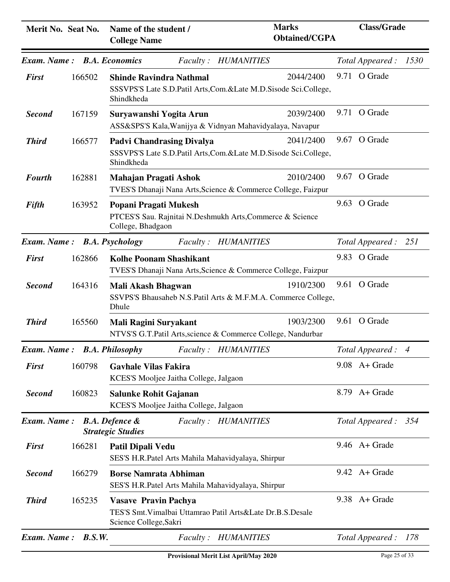| Merit No. Seat No.          |        | Name of the student /<br><b>College Name</b>                                                                        | <b>Marks</b><br><b>Obtained/CGPA</b>                                         | <b>Class/Grade</b>      |
|-----------------------------|--------|---------------------------------------------------------------------------------------------------------------------|------------------------------------------------------------------------------|-------------------------|
| Exam. Name: B.A. Economics  |        | <i>Faculty</i> :                                                                                                    | <b>HUMANITIES</b>                                                            | 1530<br>Total Appeared: |
| <b>First</b>                | 166502 | <b>Shinde Ravindra Nathmal</b><br>Shindkheda                                                                        | 2044/2400<br>SSSVPS'S Late S.D.Patil Arts, Com.&Late M.D.Sisode Sci.College, | 9.71 O Grade            |
| <b>Second</b>               | 167159 | Suryawanshi Yogita Arun                                                                                             | 2039/2400<br>ASS&SPS'S Kala, Wanijya & Vidnyan Mahavidyalaya, Navapur        | 9.71 O Grade            |
| <b>Third</b>                | 166577 | <b>Padvi Chandrasing Divalya</b><br>Shindkheda                                                                      | 2041/2400<br>SSSVPS'S Late S.D.Patil Arts, Com.&Late M.D.Sisode Sci.College, | 9.67 O Grade            |
| <b>Fourth</b>               | 162881 | Mahajan Pragati Ashok                                                                                               | 2010/2400<br>TVES'S Dhanaji Nana Arts, Science & Commerce College, Faizpur   | 9.67 O Grade            |
| Fifth                       | 163952 | Popani Pragati Mukesh<br>PTCES'S Sau. Rajnitai N.Deshmukh Arts, Commerce & Science<br>College, Bhadgaon             |                                                                              | 9.63 O Grade            |
| Exam. Name: B.A. Psychology |        | <i>Faculty :</i>                                                                                                    | <b>HUMANITIES</b>                                                            | Total Appeared: 251     |
| <b>First</b>                | 162866 | <b>Kolhe Poonam Shashikant</b>                                                                                      | TVES'S Dhanaji Nana Arts, Science & Commerce College, Faizpur                | 9.83 O Grade            |
| <b>Second</b>               | 164316 | <b>Mali Akash Bhagwan</b><br>Dhule                                                                                  | 1910/2300<br>SSVPS'S Bhausaheb N.S.Patil Arts & M.F.M.A. Commerce College,   | 9.61 O Grade            |
| <b>Third</b>                | 165560 | Mali Ragini Suryakant                                                                                               | 1903/2300<br>NTVS'S G.T.Patil Arts, science & Commerce College, Nandurbar    | 9.61 O Grade            |
|                             |        | <b>Exam. Name: B.A. Philosophy</b> Faculty: HUMANITIES                                                              |                                                                              | Total Appeared: 4       |
| <b>First</b>                | 160798 | <b>Gavhale Vilas Fakira</b><br>KCES'S Mooljee Jaitha College, Jalgaon                                               |                                                                              | $9.08$ A + Grade        |
| <b>Second</b>               | 160823 | Salunke Rohit Gajanan<br>KCES'S Mooljee Jaitha College, Jalgaon                                                     |                                                                              | 8.79 A + Grade          |
| Exam. Name:                 |        | <b>B.A. Defence &amp;</b><br><b>Strategic Studies</b>                                                               | Faculty: HUMANITIES                                                          | Total Appeared: 354     |
| <b>First</b>                | 166281 | Patil Dipali Vedu<br>SES'S H.R.Patel Arts Mahila Mahavidyalaya, Shirpur                                             |                                                                              | $9.46$ A + Grade        |
| <b>Second</b>               | 166279 | <b>Borse Namrata Abhiman</b><br>SES'S H.R.Patel Arts Mahila Mahavidyalaya, Shirpur                                  |                                                                              | $9.42$ A + Grade        |
| <b>Third</b>                | 165235 | <b>Vasave Pravin Pachya</b><br>TES'S Smt. Vimalbai Uttamrao Patil Arts&Late Dr.B.S.Desale<br>Science College, Sakri |                                                                              | $9.38$ A + Grade        |
| <b>Exam.</b> Name:          | B.S.W. | <i>Faculty:</i>                                                                                                     | <b>HUMANITIES</b>                                                            | Total Appeared:<br>178  |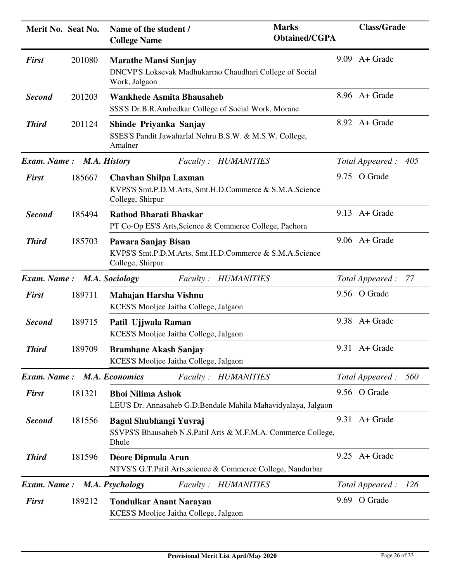| Merit No. Seat No.          |        | <b>Marks</b><br>Name of the student /<br><b>Obtained/CGPA</b><br><b>College Name</b>                        | <b>Class/Grade</b>   |            |
|-----------------------------|--------|-------------------------------------------------------------------------------------------------------------|----------------------|------------|
| <b>First</b>                | 201080 | <b>Marathe Mansi Sanjay</b><br>DNCVP'S Loksevak Madhukarrao Chaudhari College of Social<br>Work, Jalgaon    | $9.09$ A + Grade     |            |
| <b>Second</b>               | 201203 | <b>Wankhede Asmita Bhausaheb</b><br>SSS'S Dr.B.R.Ambedkar College of Social Work, Morane                    | 8.96 A+ Grade        |            |
| <b>Third</b>                | 201124 | Shinde Priyanka Sanjay<br>SSES'S Pandit Jawaharlal Nehru B.S.W. & M.S.W. College,<br>Amalner                | 8.92 A + Grade       |            |
| Exam. Name: M.A. History    |        | Faculty: HUMANITIES                                                                                         | Total Appeared: 405  |            |
| <b>First</b>                | 185667 | <b>Chavhan Shilpa Laxman</b><br>KVPS'S Smt.P.D.M.Arts, Smt.H.D.Commerce & S.M.A.Science<br>College, Shirpur | 9.75 O Grade         |            |
| <b>Second</b>               | 185494 | <b>Rathod Bharati Bhaskar</b><br>PT Co-Op ES'S Arts, Science & Commerce College, Pachora                    | $9.13$ A + Grade     |            |
| <b>Third</b>                | 185703 | Pawara Sanjay Bisan<br>KVPS'S Smt.P.D.M.Arts, Smt.H.D.Commerce & S.M.A.Science<br>College, Shirpur          | $9.06$ A + Grade     |            |
| Exam. Name: M.A. Sociology  |        | Faculty: HUMANITIES                                                                                         | Total Appeared : 77  |            |
| <b>First</b>                | 189711 | Mahajan Harsha Vishnu<br>KCES'S Mooljee Jaitha College, Jalgaon                                             | 9.56 O Grade         |            |
| <b>Second</b>               | 189715 | Patil Ujjwala Raman<br>KCES'S Mooljee Jaitha College, Jalgaon                                               | $9.38$ A + Grade     |            |
| <b>Third</b>                | 189709 | <b>Bramhane Akash Sanjay</b><br>KCES'S Mooljee Jaitha College, Jalgaon                                      | $9.31$ A + Grade     |            |
| Exam. Name: M.A. Economics  |        | Faculty: HUMANITIES                                                                                         | Total Appeared : 560 |            |
| <b>First</b>                | 181321 | <b>Bhoi Nilima Ashok</b><br>LEU'S Dr. Annasaheb G.D.Bendale Mahila Mahavidyalaya, Jalgaon                   | 9.56 O Grade         |            |
| <b>Second</b>               | 181556 | <b>Bagul Shubhangi Yuvraj</b><br>SSVPS'S Bhausaheb N.S.Patil Arts & M.F.M.A. Commerce College,<br>Dhule     | $9.31$ A + Grade     |            |
| <b>Third</b>                | 181596 | Deore Dipmala Arun<br>NTVS'S G.T.Patil Arts, science & Commerce College, Nandurbar                          | $9.25$ A + Grade     |            |
| Exam. Name: M.A. Psychology |        | Faculty: HUMANITIES                                                                                         | Total Appeared:      | <i>126</i> |
| <b>First</b>                | 189212 | <b>Tondulkar Anant Narayan</b><br>KCES'S Mooljee Jaitha College, Jalgaon                                    | 9.69 O Grade         |            |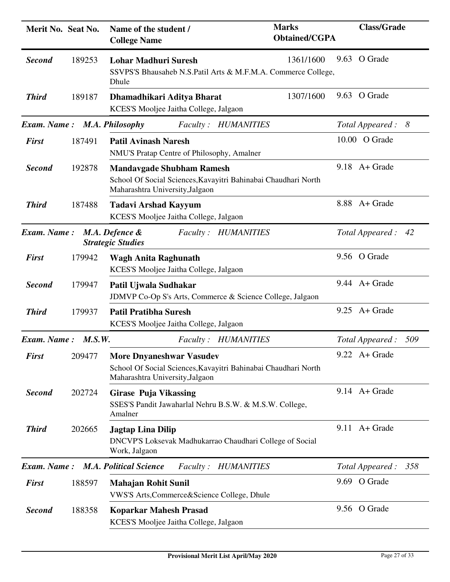| Merit No. Seat No.          |        | Name of the student /<br><b>College Name</b>                                                                                          | <b>Marks</b><br><b>Obtained/CGPA</b> | <b>Class/Grade</b>     |  |
|-----------------------------|--------|---------------------------------------------------------------------------------------------------------------------------------------|--------------------------------------|------------------------|--|
| <b>Second</b>               | 189253 | <b>Lohar Madhuri Suresh</b><br>SSVPS'S Bhausaheb N.S.Patil Arts & M.F.M.A. Commerce College,<br>Dhule                                 | 1361/1600                            | 9.63 O Grade           |  |
| <b>Third</b>                | 189187 | Dhamadhikari Aditya Bharat<br>KCES'S Mooljee Jaitha College, Jalgaon                                                                  | 1307/1600                            | 9.63 O Grade           |  |
| Exam. Name: M.A. Philosophy |        | Faculty: HUMANITIES                                                                                                                   |                                      | Total Appeared : 8     |  |
| <b>First</b>                | 187491 | <b>Patil Avinash Naresh</b><br>NMU'S Pratap Centre of Philosophy, Amalner                                                             |                                      | 10.00 O Grade          |  |
| <b>Second</b>               | 192878 | <b>Mandavgade Shubham Ramesh</b><br>School Of Social Sciences, Kavayitri Bahinabai Chaudhari North<br>Maharashtra University, Jalgaon |                                      | $9.18$ A + Grade       |  |
| <b>Third</b>                | 187488 | <b>Tadavi Arshad Kayyum</b><br>KCES'S Mooljee Jaitha College, Jalgaon                                                                 |                                      | 8.88 A+ Grade          |  |
| Exam. Name:                 |        | M.A. Defence &<br>Faculty: HUMANITIES<br><b>Strategic Studies</b>                                                                     |                                      | Total Appeared: 42     |  |
| <b>First</b>                | 179942 | <b>Wagh Anita Raghunath</b><br>KCES'S Mooljee Jaitha College, Jalgaon                                                                 |                                      | 9.56 O Grade           |  |
| <b>Second</b>               | 179947 | Patil Ujwala Sudhakar<br>JDMVP Co-Op S's Arts, Commerce & Science College, Jalgaon                                                    |                                      | $9.44$ A + Grade       |  |
| <b>Third</b>                | 179937 | <b>Patil Pratibha Suresh</b><br>KCES'S Mooljee Jaitha College, Jalgaon                                                                |                                      | $9.25$ A + Grade       |  |
| Exam. Name:                 | M.S.W. | Faculty: HUMANITIES                                                                                                                   |                                      | 509<br>Total Appeared: |  |
| <b>First</b>                | 209477 | <b>More Dnyaneshwar Vasudev</b><br>School Of Social Sciences, Kavayitri Bahinabai Chaudhari North<br>Maharashtra University, Jalgaon  |                                      | $9.22$ A + Grade       |  |
| <b>Second</b>               | 202724 | <b>Girase Puja Vikassing</b><br>SSES'S Pandit Jawaharlal Nehru B.S.W. & M.S.W. College,<br>Amalner                                    |                                      | $9.14$ A+ Grade        |  |
| <b>Third</b>                | 202665 | <b>Jagtap Lina Dilip</b><br>DNCVP'S Loksevak Madhukarrao Chaudhari College of Social<br>Work, Jalgaon                                 |                                      | $9.11$ A + Grade       |  |
| <b>Exam.</b> Name:          |        | <b>M.A. Political Science</b><br><b>HUMANITIES</b><br><i>Faculty:</i>                                                                 |                                      | Total Appeared:<br>358 |  |
| <b>First</b>                | 188597 | <b>Mahajan Rohit Sunil</b><br>VWS'S Arts, Commerce & Science College, Dhule                                                           |                                      | 9.69 O Grade           |  |
| <b>Second</b>               | 188358 | <b>Koparkar Mahesh Prasad</b><br>KCES'S Mooljee Jaitha College, Jalgaon                                                               |                                      | 9.56 O Grade           |  |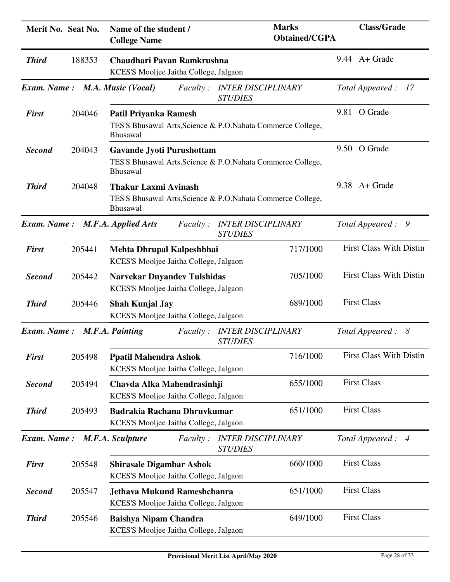| Merit No. Seat No. |        | Name of the student /<br><b>College Name</b>                                 | <b>Marks</b><br><b>Obtained/CGPA</b>                         | <b>Class/Grade</b>             |
|--------------------|--------|------------------------------------------------------------------------------|--------------------------------------------------------------|--------------------------------|
| <b>Third</b>       | 188353 | Chaudhari Pavan Ramkrushna<br>KCES'S Mooljee Jaitha College, Jalgaon         |                                                              | $9.44$ A + Grade               |
| Exam. Name:        |        | M.A. Music (Vocal)<br><i>Faculty :</i>                                       | <b>INTER DISCIPLINARY</b><br><b>STUDIES</b>                  | Total Appeared :<br>17         |
| <b>First</b>       | 204046 | Patil Priyanka Ramesh<br><b>Bhusawal</b>                                     | TES'S Bhusawal Arts, Science & P.O. Nahata Commerce College, | 9.81 O Grade                   |
| <b>Second</b>      | 204043 | <b>Gavande Jyoti Purushottam</b><br>Bhusawal                                 | TES'S Bhusawal Arts, Science & P.O. Nahata Commerce College, | 9.50 O Grade                   |
| <b>Third</b>       | 204048 | <b>Thakur Laxmi Avinash</b><br>Bhusawal                                      | TES'S Bhusawal Arts, Science & P.O. Nahata Commerce College, | $9.38$ A + Grade               |
| <b>Exam.</b> Name: |        | M.F.A. Applied Arts<br><i>Faculty</i> :                                      | <b>INTER DISCIPLINARY</b><br><b>STUDIES</b>                  | Total Appeared : 9             |
| <b>First</b>       | 205441 | Mehta Dhrupal Kalpeshbhai<br>KCES'S Mooljee Jaitha College, Jalgaon          | 717/1000                                                     | <b>First Class With Distin</b> |
| <b>Second</b>      | 205442 | <b>Narvekar Dnyandev Tulshidas</b><br>KCES'S Mooljee Jaitha College, Jalgaon | 705/1000                                                     | <b>First Class With Distin</b> |
| <b>Third</b>       | 205446 | <b>Shah Kunjal Jay</b><br>KCES'S Mooljee Jaitha College, Jalgaon             | 689/1000                                                     | <b>First Class</b>             |
| <b>Exam.</b> Name: |        | M.F.A. Painting<br><i>Faculty</i> :                                          | <b>INTER DISCIPLINARY</b><br><b>STUDIES</b>                  | Total Appeared : 8             |
| <b>First</b>       | 205498 | <b>Ppatil Mahendra Ashok</b><br>KCES'S Mooljee Jaitha College, Jalgaon       | 716/1000                                                     | <b>First Class With Distin</b> |
| <b>Second</b>      | 205494 | Chavda Alka Mahendrasinhji<br>KCES'S Mooljee Jaitha College, Jalgaon         | 655/1000                                                     | <b>First Class</b>             |
| <b>Third</b>       | 205493 | <b>Badrakia Rachana Dhruvkumar</b><br>KCES'S Mooljee Jaitha College, Jalgaon | 651/1000                                                     | <b>First Class</b>             |
| <b>Exam.</b> Name: |        | M.F.A. Sculpture<br><i>Faculty</i> :                                         | <b>INTER DISCIPLINARY</b><br><b>STUDIES</b>                  | Total Appeared : 4             |
| <b>First</b>       | 205548 | <b>Shirasale Digambar Ashok</b><br>KCES'S Mooljee Jaitha College, Jalgaon    | 660/1000                                                     | <b>First Class</b>             |
| <b>Second</b>      | 205547 | <b>Jethava Mukund Rameshchanra</b><br>KCES'S Mooljee Jaitha College, Jalgaon | 651/1000                                                     | <b>First Class</b>             |
| <b>Third</b>       | 205546 | <b>Baishya Nipam Chandra</b><br>KCES'S Mooljee Jaitha College, Jalgaon       | 649/1000                                                     | <b>First Class</b>             |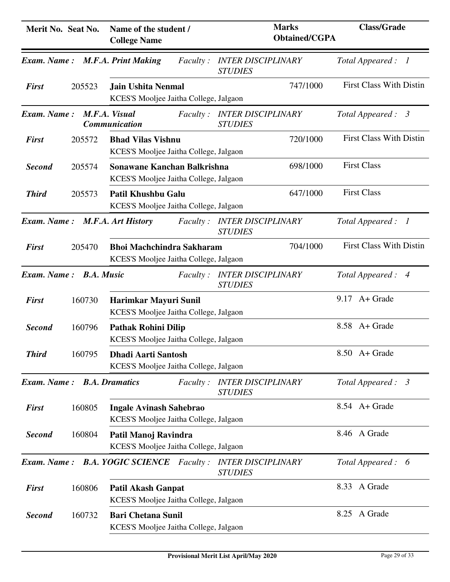| Merit No. Seat No. |                   | Name of the student /<br><b>College Name</b>                               | <b>Marks</b><br><b>Obtained/CGPA</b>        | <b>Class/Grade</b>                |
|--------------------|-------------------|----------------------------------------------------------------------------|---------------------------------------------|-----------------------------------|
| <b>Exam.</b> Name: |                   | <b>M.F.A. Print Making</b><br><i>Faculty:</i>                              | <b>INTER DISCIPLINARY</b><br><b>STUDIES</b> | Total Appeared:<br>$\overline{1}$ |
| <b>First</b>       | 205523            | <b>Jain Ushita Nenmal</b><br>KCES'S Mooljee Jaitha College, Jalgaon        | 747/1000                                    | <b>First Class With Distin</b>    |
| Exam. Name:        |                   | M.F.A. Visual<br><i>Faculty</i> :<br>Communication                         | <b>INTER DISCIPLINARY</b><br><b>STUDIES</b> | Total Appeared : 3                |
| <b>First</b>       | 205572            | <b>Bhad Vilas Vishnu</b><br>KCES'S Mooljee Jaitha College, Jalgaon         | 720/1000                                    | <b>First Class With Distin</b>    |
| <b>Second</b>      | 205574            | Sonawane Kanchan Balkrishna<br>KCES'S Mooljee Jaitha College, Jalgaon      | 698/1000                                    | <b>First Class</b>                |
| <b>Third</b>       | 205573            | Patil Khushbu Galu<br>KCES'S Mooljee Jaitha College, Jalgaon               | 647/1000                                    | <b>First Class</b>                |
| Exam. Name:        |                   | M.F.A. Art History<br><i>Faculty</i> :                                     | <b>INTER DISCIPLINARY</b><br><b>STUDIES</b> | Total Appeared : 1                |
| <b>First</b>       | 205470            | <b>Bhoi Machchindra Sakharam</b><br>KCES'S Mooljee Jaitha College, Jalgaon | 704/1000                                    | <b>First Class With Distin</b>    |
| Exam. Name:        | <b>B.A. Music</b> | <i>Faculty</i> :                                                           | <b>INTER DISCIPLINARY</b><br><b>STUDIES</b> | Total Appeared: 4                 |
| <b>First</b>       | 160730            | Harimkar Mayuri Sunil<br>KCES'S Mooljee Jaitha College, Jalgaon            |                                             | $9.17$ A + Grade                  |
| <b>Second</b>      | 160796            | <b>Pathak Rohini Dilip</b><br>KCES'S Mooljee Jaitha College, Jalgaon       |                                             | 8.58 A + Grade                    |
| <b>Third</b>       | 160795            | <b>Dhadi Aarti Santosh</b><br>KCES'S Mooljee Jaitha College, Jalgaon       |                                             | 8.50 A+ Grade                     |
| Exam. Name:        |                   | <b>B.A. Dramatics</b><br><i>Faculty</i> :                                  | <b>INTER DISCIPLINARY</b><br><b>STUDIES</b> | Total Appeared : 3                |
| <b>First</b>       | 160805            | <b>Ingale Avinash Sahebrao</b><br>KCES'S Mooljee Jaitha College, Jalgaon   |                                             | $8.54$ A + Grade                  |
| <b>Second</b>      | 160804            | Patil Manoj Ravindra<br>KCES'S Mooljee Jaitha College, Jalgaon             |                                             | 8.46 A Grade                      |
| Exam. Name:        |                   | <b>B.A. YOGIC SCIENCE</b> Faculty:                                         | <b>INTER DISCIPLINARY</b><br><b>STUDIES</b> | Total Appeared: 6                 |
| <b>First</b>       | 160806            | <b>Patil Akash Ganpat</b><br>KCES'S Mooljee Jaitha College, Jalgaon        |                                             | 8.33 A Grade                      |
| <b>Second</b>      | 160732            | <b>Bari Chetana Sunil</b><br>KCES'S Mooljee Jaitha College, Jalgaon        |                                             | 8.25 A Grade                      |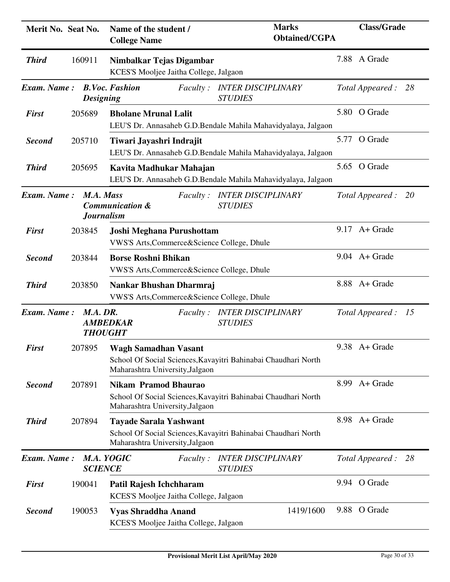| Merit No. Seat No. |                                               | Name of the student /<br><b>College Name</b>                                                                                       | <b>Marks</b><br><b>Obtained/CGPA</b> | <b>Class/Grade</b>            |
|--------------------|-----------------------------------------------|------------------------------------------------------------------------------------------------------------------------------------|--------------------------------------|-------------------------------|
| <b>Third</b>       | 160911                                        | Nimbalkar Tejas Digambar<br>KCES'S Mooljee Jaitha College, Jalgaon                                                                 |                                      | 7.88 A Grade                  |
| Exam. Name:        | <b>Designing</b>                              | <b>B.Voc. Fashion</b><br><i>Faculty</i> :<br><b>STUDIES</b>                                                                        | <b>INTER DISCIPLINARY</b>            | Total Appeared : 28           |
| <b>First</b>       | 205689                                        | <b>Bholane Mrunal Lalit</b><br>LEU'S Dr. Annasaheb G.D.Bendale Mahila Mahavidyalaya, Jalgaon                                       |                                      | 5.80 O Grade                  |
| <b>Second</b>      | 205710                                        | Tiwari Jayashri Indrajit<br>LEU'S Dr. Annasaheb G.D.Bendale Mahila Mahavidyalaya, Jalgaon                                          |                                      | 5.77 O Grade                  |
| <b>Third</b>       | 205695                                        | Kavita Madhukar Mahajan<br>LEU'S Dr. Annasaheb G.D.Bendale Mahila Mahavidyalaya, Jalgaon                                           |                                      | 5.65 O Grade                  |
| Exam. Name:        | M.A. Mass<br><b>Journalism</b>                | <i>Faculty :</i><br><b>Communication &amp;</b><br><b>STUDIES</b>                                                                   | <b>INTER DISCIPLINARY</b>            | Total Appeared :<br><b>20</b> |
| <b>First</b>       | 203845                                        | Joshi Meghana Purushottam<br>VWS'S Arts, Commerce & Science College, Dhule                                                         |                                      | $9.17$ A + Grade              |
| <b>Second</b>      | 203844                                        | <b>Borse Roshni Bhikan</b><br>VWS'S Arts, Commerce & Science College, Dhule                                                        |                                      | $9.04$ A + Grade              |
| <b>Third</b>       | 203850                                        | Nankar Bhushan Dharmraj<br>VWS'S Arts, Commerce & Science College, Dhule                                                           |                                      | 8.88 A+ Grade                 |
| Exam. Name:        | M.A. DR.<br><b>AMBEDKAR</b><br><b>THOUGHT</b> | <i>Faculty:</i><br><b>STUDIES</b>                                                                                                  | <b>INTER DISCIPLINARY</b>            | Total Appeared : 15           |
| <b>First</b>       | 207895                                        | <b>Wagh Samadhan Vasant</b><br>School Of Social Sciences, Kavayitri Bahinabai Chaudhari North<br>Maharashtra University, Jalgaon   |                                      | 9.38 A+ Grade                 |
| <b>Second</b>      | 207891                                        | <b>Nikam Pramod Bhaurao</b><br>School Of Social Sciences, Kavayitri Bahinabai Chaudhari North<br>Maharashtra University, Jalgaon   |                                      | 8.99 A+ Grade                 |
| <b>Third</b>       | 207894                                        | <b>Tayade Sarala Yashwant</b><br>School Of Social Sciences, Kavayitri Bahinabai Chaudhari North<br>Maharashtra University, Jalgaon |                                      | 8.98 A+ Grade                 |
| <b>Exam.</b> Name: | M.A. YOGIC<br><b>SCIENCE</b>                  | <i>Faculty</i> :<br><b>STUDIES</b>                                                                                                 | <b>INTER DISCIPLINARY</b>            | Total Appeared : 28           |
| <b>First</b>       | 190041                                        | Patil Rajesh Ichchharam<br>KCES'S Mooljee Jaitha College, Jalgaon                                                                  |                                      | 9.94 O Grade                  |
| <b>Second</b>      | 190053                                        | <b>Vyas Shraddha Anand</b><br>KCES'S Mooljee Jaitha College, Jalgaon                                                               | 1419/1600                            | 9.88 O Grade                  |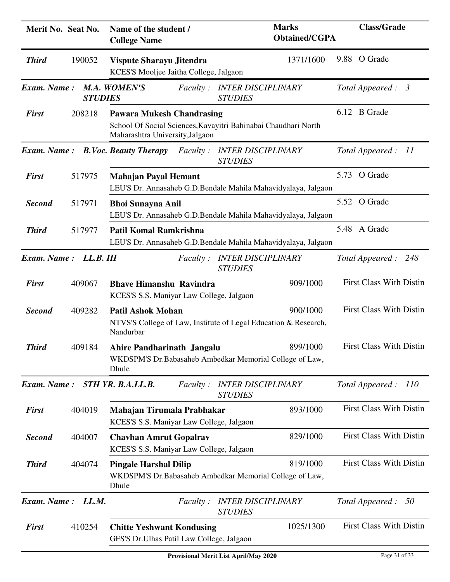| Merit No. Seat No.    |                | Name of the student /<br><b>College Name</b>                                   | <b>Marks</b><br><b>Obtained/CGPA</b>                                        | <b>Class/Grade</b>             |
|-----------------------|----------------|--------------------------------------------------------------------------------|-----------------------------------------------------------------------------|--------------------------------|
| <b>Third</b>          | 190052         | Vispute Sharayu Jitendra<br>KCES'S Mooljee Jaitha College, Jalgaon             | 1371/1600                                                                   | 9.88 O Grade                   |
| Exam. Name:           | <b>STUDIES</b> | <b>M.A. WOMEN'S</b>                                                            | Faculty: INTER DISCIPLINARY<br><b>STUDIES</b>                               | Total Appeared : 3             |
| <b>First</b>          | 208218         | <b>Pawara Mukesh Chandrasing</b><br>Maharashtra University, Jalgaon            | School Of Social Sciences, Kavayitri Bahinabai Chaudhari North              | 6.12 B Grade                   |
| Exam. Name:           |                | <b>B.Voc. Beauty Therapy</b><br><i>Faculty:</i>                                | <i><b>INTER DISCIPLINARY</b></i><br><b>STUDIES</b>                          | Total Appeared :<br>11         |
| <b>First</b>          | 517975         | <b>Mahajan Payal Hemant</b>                                                    | LEU'S Dr. Annasaheb G.D.Bendale Mahila Mahavidyalaya, Jalgaon               | 5.73 O Grade                   |
| <b>Second</b>         | 517971         | <b>Bhoi Sunayna Anil</b>                                                       | LEU'S Dr. Annasaheb G.D.Bendale Mahila Mahavidyalaya, Jalgaon               | 5.52 O Grade                   |
| <b>Third</b>          | 517977         | <b>Patil Komal Ramkrishna</b>                                                  | LEU'S Dr. Annasaheb G.D.Bendale Mahila Mahavidyalaya, Jalgaon               | 5.48 A Grade                   |
| Exam. Name: LL.B. III |                | <i>Faculty</i> :                                                               | <b>INTER DISCIPLINARY</b><br><b>STUDIES</b>                                 | Total Appeared:<br>248         |
| <b>First</b>          | 409067         | <b>Bhave Himanshu Ravindra</b><br>KCES'S S.S. Maniyar Law College, Jalgaon     | 909/1000                                                                    | <b>First Class With Distin</b> |
| <b>Second</b>         | 409282         | <b>Patil Ashok Mohan</b><br>Nandurbar                                          | 900/1000<br>NTVS'S College of Law, Institute of Legal Education & Research, | <b>First Class With Distin</b> |
| <b>Third</b>          | 409184         | Ahire Pandharinath Jangalu<br>Dhule                                            | 899/1000<br>WKDSPM'S Dr.Babasaheb Ambedkar Memorial College of Law,         | <b>First Class With Distin</b> |
| Exam. Name:           |                | 5TH YR. B.A.LL.B.<br><i>Faculty:</i>                                           | <b>INTER DISCIPLINARY</b><br><b>STUDIES</b>                                 | Total Appeared:<br>110         |
| <b>First</b>          | 404019         | Mahajan Tirumala Prabhakar<br>KCES'S S.S. Maniyar Law College, Jalgaon         | 893/1000                                                                    | <b>First Class With Distin</b> |
| <b>Second</b>         | 404007         | <b>Chavhan Amrut Gopalrav</b><br>KCES'S S.S. Maniyar Law College, Jalgaon      | 829/1000                                                                    | <b>First Class With Distin</b> |
| <b>Third</b>          | 404074         | <b>Pingale Harshal Dilip</b><br>Dhule                                          | 819/1000<br>WKDSPM'S Dr.Babasaheb Ambedkar Memorial College of Law,         | <b>First Class With Distin</b> |
| Exam. Name:           | LL.M.          | <i>Faculty:</i>                                                                | <b>INTER DISCIPLINARY</b><br><b>STUDIES</b>                                 | Total Appeared:<br>50          |
| <b>First</b>          | 410254         | <b>Chitte Yeshwant Kondusing</b><br>GFS'S Dr. Ulhas Patil Law College, Jalgaon | 1025/1300                                                                   | <b>First Class With Distin</b> |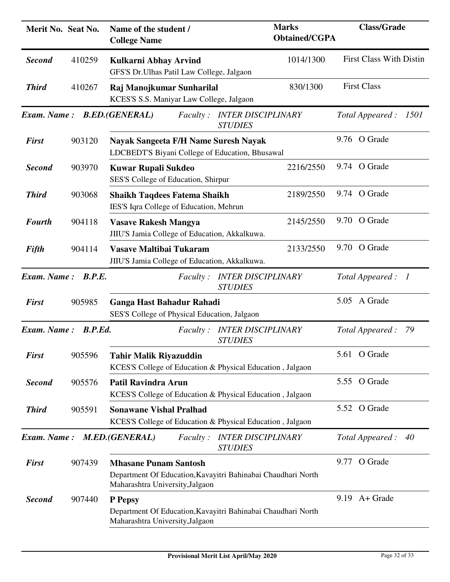| Merit No. Seat No. |         | Name of the student /<br><b>College Name</b>                                                                                    | <b>Marks</b><br><b>Obtained/CGPA</b> | <b>Class/Grade</b>             |
|--------------------|---------|---------------------------------------------------------------------------------------------------------------------------------|--------------------------------------|--------------------------------|
| <b>Second</b>      | 410259  | Kulkarni Abhay Arvind<br>GFS'S Dr.Ulhas Patil Law College, Jalgaon                                                              | 1014/1300                            | <b>First Class With Distin</b> |
| <b>Third</b>       | 410267  | Raj Manojkumar Sunharilal<br>KCES'S S.S. Maniyar Law College, Jalgaon                                                           | 830/1300                             | <b>First Class</b>             |
| <b>Exam.</b> Name: |         | <b>B.ED.(GENERAL)</b><br><b>INTER DISCIPLINARY</b><br><i>Faculty</i> :<br><b>STUDIES</b>                                        |                                      | Total Appeared:<br>1501        |
| <b>First</b>       | 903120  | Nayak Sangeeta F/H Name Suresh Nayak<br>LDCBEDT'S Biyani College of Education, Bhusawal                                         |                                      | 9.76 O Grade                   |
| <b>Second</b>      | 903970  | <b>Kuwar Rupali Sukdeo</b><br>SES'S College of Education, Shirpur                                                               | 2216/2550                            | 9.74 O Grade                   |
| <b>Third</b>       | 903068  | <b>Shaikh Taqdees Fatema Shaikh</b><br>IES'S Iqra College of Education, Mehrun                                                  | 2189/2550                            | 9.74 O Grade                   |
| <b>Fourth</b>      | 904118  | <b>Vasave Rakesh Mangya</b><br>JIIU'S Jamia College of Education, Akkalkuwa.                                                    | 2145/2550                            | 9.70 O Grade                   |
| Fifth              | 904114  | Vasave Maltibai Tukaram<br>JIIU'S Jamia College of Education, Akkalkuwa.                                                        | 2133/2550                            | 9.70 O Grade                   |
| Exam. Name:        | B.P.E.  | <b>INTER DISCIPLINARY</b><br><i>Faculty</i> :<br><b>STUDIES</b>                                                                 |                                      | Total Appeared : 1             |
| <b>First</b>       | 905985  | Ganga Hast Bahadur Rahadi<br>SES'S College of Physical Education, Jalgaon                                                       |                                      | 5.05 A Grade                   |
| Exam. Name:        | B.P.Ed. | <b>INTER DISCIPLINARY</b><br><i>Faculty :</i><br><b>STUDIES</b>                                                                 |                                      | Total Appeared:<br>- 79        |
| <b>First</b>       | 905596  | <b>Tahir Malik Riyazuddin</b><br>KCES'S College of Education & Physical Education, Jalgaon                                      |                                      | 5.61 O Grade                   |
| <b>Second</b>      | 905576  | <b>Patil Ravindra Arun</b><br>KCES'S College of Education & Physical Education, Jalgaon                                         |                                      | 5.55 O Grade                   |
| <b>Third</b>       | 905591  | <b>Sonawane Vishal Pralhad</b><br>KCES'S College of Education & Physical Education, Jalgaon                                     |                                      | 5.52 O Grade                   |
| <b>Exam.</b> Name: |         | M.ED.(GENERAL)<br><b>INTER DISCIPLINARY</b><br><i>Faculty</i> :<br><b>STUDIES</b>                                               |                                      | Total Appeared:<br>40          |
| <b>First</b>       | 907439  | <b>Mhasane Punam Santosh</b><br>Department Of Education, Kavayitri Bahinabai Chaudhari North<br>Maharashtra University, Jalgaon |                                      | 9.77 O Grade                   |
| <b>Second</b>      | 907440  | P Pepsy<br>Department Of Education, Kavayitri Bahinabai Chaudhari North<br>Maharashtra University, Jalgaon                      |                                      | $9.19$ A + Grade               |